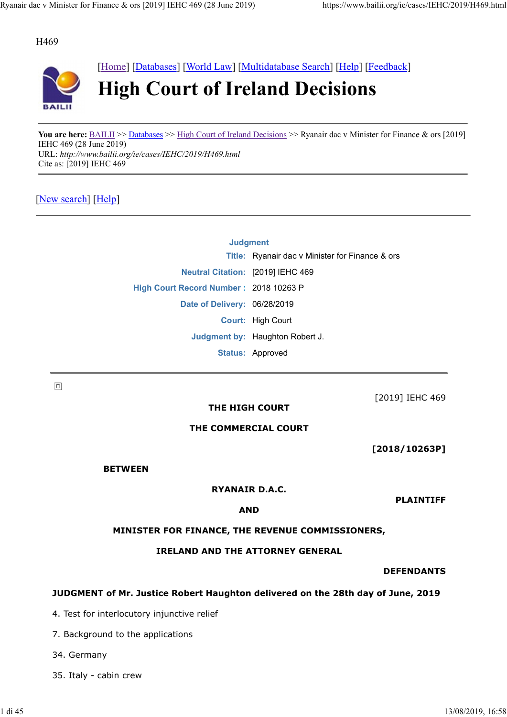## H469



You are here:  $\underline{BAILII} \gg \underline{Database} \gg \underline{High Court of Ireland Decisions} \gg \text{Ryanair dac v Minister for Finance & or } [2019]$ IEHC 469 (28 June 2019) URL: *http://www.bailii.org/ie/cases/IEHC/2019/H469.html* Cite as: [2019] IEHC 469

# [New search] [Help]

| <b>Judgment</b>                                        |  |  |  |  |  |
|--------------------------------------------------------|--|--|--|--|--|
| <b>Title:</b> Ryanair dac v Minister for Finance & ors |  |  |  |  |  |
| <b>Neutral Citation: [2019] IEHC 469</b>               |  |  |  |  |  |
| High Court Record Number: 2018 10263 P                 |  |  |  |  |  |
| Date of Delivery: 06/28/2019                           |  |  |  |  |  |
| <b>Court: High Court</b>                               |  |  |  |  |  |
| <b>Judgment by: Haughton Robert J.</b>                 |  |  |  |  |  |
| <b>Status: Approved</b>                                |  |  |  |  |  |
|                                                        |  |  |  |  |  |

 $\boxed{\square}$ 

[2019] IEHC 469

#### THE HIGH COURT

#### THE COMMERCIAL COURT

[2018/10263P]

#### **BETWEEN**

#### RYANAIR D.A.C.

#### PLAINTIFF

## AND

## MINISTER FOR FINANCE, THE REVENUE COMMISSIONERS,

## IRELAND AND THE ATTORNEY GENERAL

#### DEFENDANTS

## JUDGMENT of Mr. Justice Robert Haughton delivered on the 28th day of June, 2019

- 4. Test for interlocutory injunctive relief
- 7. Background to the applications
- 34. Germany
- 35. Italy cabin crew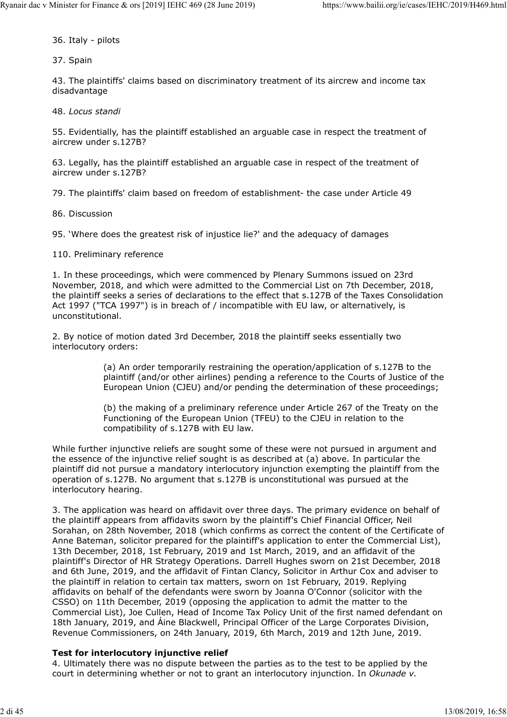36. Italy - pilots

37. Spain

43. The plaintiffs' claims based on discriminatory treatment of its aircrew and income tax disadvantage

48. *Locus standi*

55. Evidentially, has the plaintiff established an arguable case in respect the treatment of aircrew under s.127B?

63. Legally, has the plaintiff established an arguable case in respect of the treatment of aircrew under s.127B?

79. The plaintiffs' claim based on freedom of establishment- the case under Article 49

86. Discussion

95. 'Where does the greatest risk of injustice lie?' and the adequacy of damages

110. Preliminary reference

1. In these proceedings, which were commenced by Plenary Summons issued on 23rd November, 2018, and which were admitted to the Commercial List on 7th December, 2018, the plaintiff seeks a series of declarations to the effect that s.127B of the Taxes Consolidation Act 1997 ("TCA 1997") is in breach of / incompatible with EU law, or alternatively, is unconstitutional.

2. By notice of motion dated 3rd December, 2018 the plaintiff seeks essentially two interlocutory orders:

> (a) An order temporarily restraining the operation/application of s.127B to the plaintiff (and/or other airlines) pending a reference to the Courts of Justice of the European Union (CJEU) and/or pending the determination of these proceedings;

(b) the making of a preliminary reference under Article 267 of the Treaty on the Functioning of the European Union (TFEU) to the CJEU in relation to the compatibility of s.127B with EU law.

While further injunctive reliefs are sought some of these were not pursued in argument and the essence of the injunctive relief sought is as described at (a) above. In particular the plaintiff did not pursue a mandatory interlocutory injunction exempting the plaintiff from the operation of s.127B. No argument that s.127B is unconstitutional was pursued at the interlocutory hearing.

3. The application was heard on affidavit over three days. The primary evidence on behalf of the plaintiff appears from affidavits sworn by the plaintiff's Chief Financial Officer, Neil Sorahan, on 28th November, 2018 (which confirms as correct the content of the Certificate of Anne Bateman, solicitor prepared for the plaintiff's application to enter the Commercial List), 13th December, 2018, 1st February, 2019 and 1st March, 2019, and an affidavit of the plaintiff's Director of HR Strategy Operations. Darrell Hughes sworn on 21st December, 2018 and 6th June, 2019, and the affidavit of Fintan Clancy, Solicitor in Arthur Cox and adviser to the plaintiff in relation to certain tax matters, sworn on 1st February, 2019. Replying affidavits on behalf of the defendants were sworn by Joanna O'Connor (solicitor with the CSSO) on 11th December, 2019 (opposing the application to admit the matter to the Commercial List), Joe Cullen, Head of Income Tax Policy Unit of the first named defendant on 18th January, 2019, and Áine Blackwell, Principal Officer of the Large Corporates Division, Revenue Commissioners, on 24th January, 2019, 6th March, 2019 and 12th June, 2019.

#### Test for interlocutory injunctive relief

4. Ultimately there was no dispute between the parties as to the test to be applied by the court in determining whether or not to grant an interlocutory injunction. In *Okunade v.*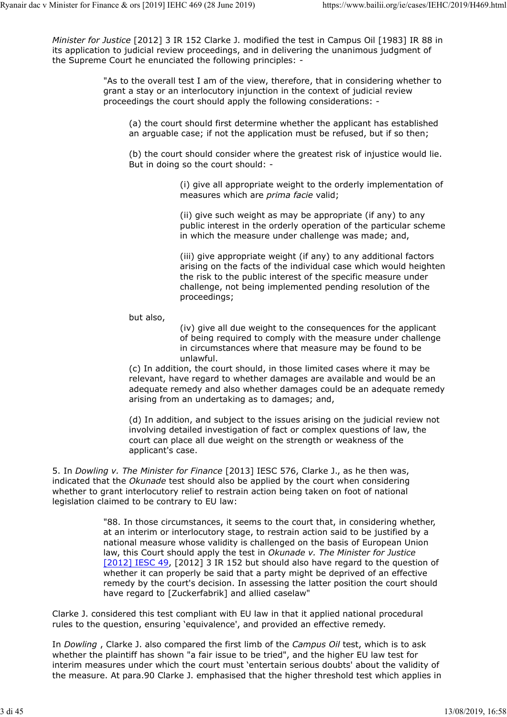*Minister for Justice* [2012] 3 IR 152 Clarke J. modified the test in Campus Oil [1983] IR 88 in its application to judicial review proceedings, and in delivering the unanimous judgment of the Supreme Court he enunciated the following principles: -

> "As to the overall test I am of the view, therefore, that in considering whether to grant a stay or an interlocutory injunction in the context of judicial review proceedings the court should apply the following considerations: -

(a) the court should first determine whether the applicant has established an arguable case; if not the application must be refused, but if so then;

(b) the court should consider where the greatest risk of injustice would lie. But in doing so the court should: -

> (i) give all appropriate weight to the orderly implementation of measures which are *prima facie* valid;

> (ii) give such weight as may be appropriate (if any) to any public interest in the orderly operation of the particular scheme in which the measure under challenge was made; and,

> (iii) give appropriate weight (if any) to any additional factors arising on the facts of the individual case which would heighten the risk to the public interest of the specific measure under challenge, not being implemented pending resolution of the proceedings;

but also,

(iv) give all due weight to the consequences for the applicant of being required to comply with the measure under challenge in circumstances where that measure may be found to be unlawful.

(c) In addition, the court should, in those limited cases where it may be relevant, have regard to whether damages are available and would be an adequate remedy and also whether damages could be an adequate remedy arising from an undertaking as to damages; and,

(d) In addition, and subject to the issues arising on the judicial review not involving detailed investigation of fact or complex questions of law, the court can place all due weight on the strength or weakness of the applicant's case.

5. In *Dowling v. The Minister for Finance* [2013] IESC 576, Clarke J., as he then was, indicated that the *Okunade* test should also be applied by the court when considering whether to grant interlocutory relief to restrain action being taken on foot of national legislation claimed to be contrary to EU law:

> "88. In those circumstances, it seems to the court that, in considering whether, at an interim or interlocutory stage, to restrain action said to be justified by a national measure whose validity is challenged on the basis of European Union law, this Court should apply the test in *Okunade v. The Minister for Justice* [2012] IESC 49, [2012] 3 IR 152 but should also have regard to the question of whether it can properly be said that a party might be deprived of an effective remedy by the court's decision. In assessing the latter position the court should have regard to [Zuckerfabrik] and allied caselaw"

Clarke J. considered this test compliant with EU law in that it applied national procedural rules to the question, ensuring 'equivalence', and provided an effective remedy.

In *Dowling* , Clarke J. also compared the first limb of the *Campus Oil* test, which is to ask whether the plaintiff has shown "a fair issue to be tried", and the higher EU law test for interim measures under which the court must 'entertain serious doubts' about the validity of the measure. At para.90 Clarke J. emphasised that the higher threshold test which applies in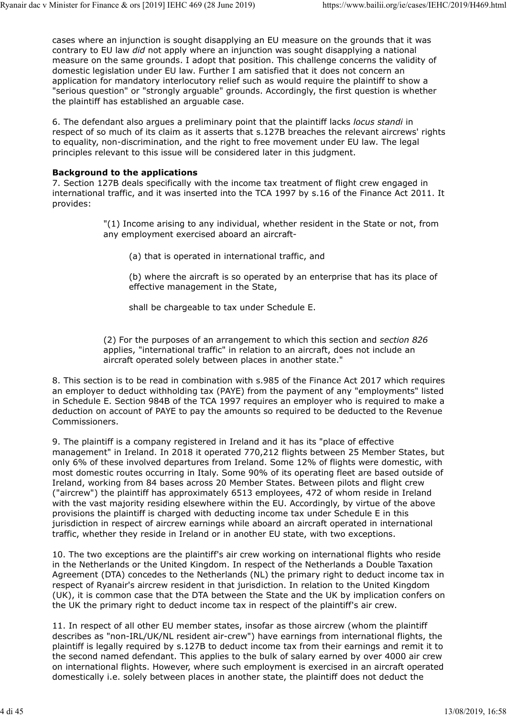cases where an injunction is sought disapplying an EU measure on the grounds that it was contrary to EU law *did* not apply where an injunction was sought disapplying a national measure on the same grounds. I adopt that position. This challenge concerns the validity of domestic legislation under EU law. Further I am satisfied that it does not concern an application for mandatory interlocutory relief such as would require the plaintiff to show a "serious question" or "strongly arguable" grounds. Accordingly, the first question is whether the plaintiff has established an arguable case.

6. The defendant also argues a preliminary point that the plaintiff lacks *locus standi* in respect of so much of its claim as it asserts that s.127B breaches the relevant aircrews' rights to equality, non-discrimination, and the right to free movement under EU law. The legal principles relevant to this issue will be considered later in this judgment.

### Background to the applications

7. Section 127B deals specifically with the income tax treatment of flight crew engaged in international traffic, and it was inserted into the TCA 1997 by s.16 of the Finance Act 2011. It provides:

> "(1) Income arising to any individual, whether resident in the State or not, from any employment exercised aboard an aircraft-

(a) that is operated in international traffic, and

(b) where the aircraft is so operated by an enterprise that has its place of effective management in the State,

shall be chargeable to tax under Schedule E.

(2) For the purposes of an arrangement to which this section and *section 826* applies, "international traffic" in relation to an aircraft, does not include an aircraft operated solely between places in another state."

8. This section is to be read in combination with s.985 of the Finance Act 2017 which requires an employer to deduct withholding tax (PAYE) from the payment of any "employments" listed in Schedule E. Section 984B of the TCA 1997 requires an employer who is required to make a deduction on account of PAYE to pay the amounts so required to be deducted to the Revenue Commissioners.

9. The plaintiff is a company registered in Ireland and it has its "place of effective management" in Ireland. In 2018 it operated 770,212 flights between 25 Member States, but only 6% of these involved departures from Ireland. Some 12% of flights were domestic, with most domestic routes occurring in Italy. Some 90% of its operating fleet are based outside of Ireland, working from 84 bases across 20 Member States. Between pilots and flight crew ("aircrew") the plaintiff has approximately 6513 employees, 472 of whom reside in Ireland with the vast majority residing elsewhere within the EU. Accordingly, by virtue of the above provisions the plaintiff is charged with deducting income tax under Schedule E in this jurisdiction in respect of aircrew earnings while aboard an aircraft operated in international traffic, whether they reside in Ireland or in another EU state, with two exceptions.

10. The two exceptions are the plaintiff's air crew working on international flights who reside in the Netherlands or the United Kingdom. In respect of the Netherlands a Double Taxation Agreement (DTA) concedes to the Netherlands (NL) the primary right to deduct income tax in respect of Ryanair's aircrew resident in that jurisdiction. In relation to the United Kingdom (UK), it is common case that the DTA between the State and the UK by implication confers on the UK the primary right to deduct income tax in respect of the plaintiff's air crew.

11. In respect of all other EU member states, insofar as those aircrew (whom the plaintiff describes as "non-IRL/UK/NL resident air-crew") have earnings from international flights, the plaintiff is legally required by s.127B to deduct income tax from their earnings and remit it to the second named defendant. This applies to the bulk of salary earned by over 4000 air crew on international flights. However, where such employment is exercised in an aircraft operated domestically i.e. solely between places in another state, the plaintiff does not deduct the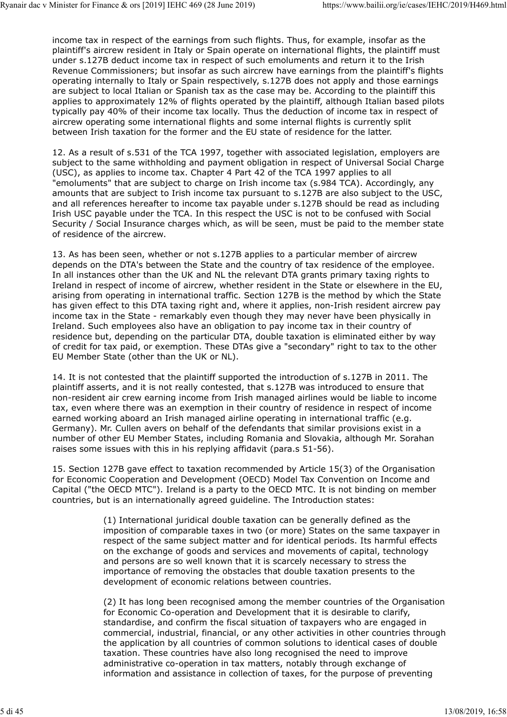income tax in respect of the earnings from such flights. Thus, for example, insofar as the plaintiff's aircrew resident in Italy or Spain operate on international flights, the plaintiff must under s.127B deduct income tax in respect of such emoluments and return it to the Irish Revenue Commissioners; but insofar as such aircrew have earnings from the plaintiff's flights operating internally to Italy or Spain respectively, s.127B does not apply and those earnings are subject to local Italian or Spanish tax as the case may be. According to the plaintiff this applies to approximately 12% of flights operated by the plaintiff, although Italian based pilots typically pay 40% of their income tax locally. Thus the deduction of income tax in respect of aircrew operating some international flights and some internal flights is currently split between Irish taxation for the former and the EU state of residence for the latter.

12. As a result of s.531 of the TCA 1997, together with associated legislation, employers are subject to the same withholding and payment obligation in respect of Universal Social Charge (USC), as applies to income tax. Chapter 4 Part 42 of the TCA 1997 applies to all "emoluments" that are subject to charge on Irish income tax (s.984 TCA). Accordingly, any amounts that are subject to Irish income tax pursuant to s.127B are also subject to the USC, and all references hereafter to income tax payable under s.127B should be read as including Irish USC payable under the TCA. In this respect the USC is not to be confused with Social Security / Social Insurance charges which, as will be seen, must be paid to the member state of residence of the aircrew.

13. As has been seen, whether or not s.127B applies to a particular member of aircrew depends on the DTA's between the State and the country of tax residence of the employee. In all instances other than the UK and NL the relevant DTA grants primary taxing rights to Ireland in respect of income of aircrew, whether resident in the State or elsewhere in the EU, arising from operating in international traffic. Section 127B is the method by which the State has given effect to this DTA taxing right and, where it applies, non-Irish resident aircrew pay income tax in the State - remarkably even though they may never have been physically in Ireland. Such employees also have an obligation to pay income tax in their country of residence but, depending on the particular DTA, double taxation is eliminated either by way of credit for tax paid, or exemption. These DTAs give a "secondary" right to tax to the other EU Member State (other than the UK or NL).

14. It is not contested that the plaintiff supported the introduction of s.127B in 2011. The plaintiff asserts, and it is not really contested, that s.127B was introduced to ensure that non-resident air crew earning income from Irish managed airlines would be liable to income tax, even where there was an exemption in their country of residence in respect of income earned working aboard an Irish managed airline operating in international traffic (e.g. Germany). Mr. Cullen avers on behalf of the defendants that similar provisions exist in a number of other EU Member States, including Romania and Slovakia, although Mr. Sorahan raises some issues with this in his replying affidavit (para.s 51-56).

15. Section 127B gave effect to taxation recommended by Article 15(3) of the Organisation for Economic Cooperation and Development (OECD) Model Tax Convention on Income and Capital ("the OECD MTC"). Ireland is a party to the OECD MTC. It is not binding on member countries, but is an internationally agreed guideline. The Introduction states:

> (1) International juridical double taxation can be generally defined as the imposition of comparable taxes in two (or more) States on the same taxpayer in respect of the same subject matter and for identical periods. Its harmful effects on the exchange of goods and services and movements of capital, technology and persons are so well known that it is scarcely necessary to stress the importance of removing the obstacles that double taxation presents to the development of economic relations between countries.

(2) It has long been recognised among the member countries of the Organisation for Economic Co-operation and Development that it is desirable to clarify, standardise, and confirm the fiscal situation of taxpayers who are engaged in commercial, industrial, financial, or any other activities in other countries through the application by all countries of common solutions to identical cases of double taxation. These countries have also long recognised the need to improve administrative co-operation in tax matters, notably through exchange of information and assistance in collection of taxes, for the purpose of preventing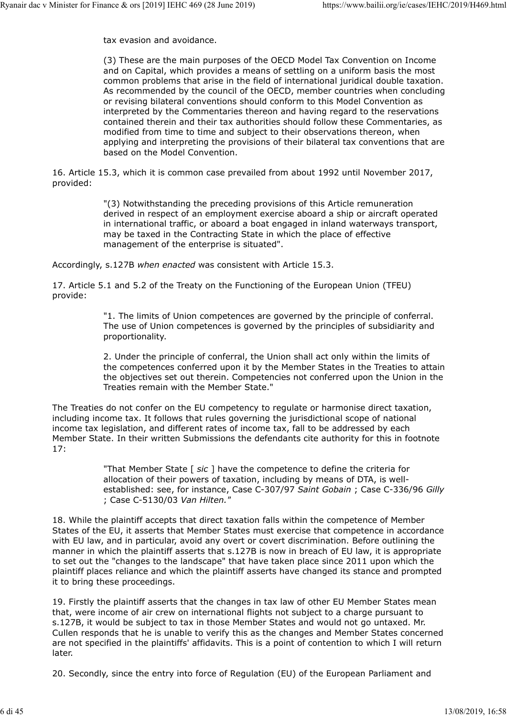tax evasion and avoidance.

(3) These are the main purposes of the OECD Model Tax Convention on Income and on Capital, which provides a means of settling on a uniform basis the most common problems that arise in the field of international juridical double taxation. As recommended by the council of the OECD, member countries when concluding or revising bilateral conventions should conform to this Model Convention as interpreted by the Commentaries thereon and having regard to the reservations contained therein and their tax authorities should follow these Commentaries, as modified from time to time and subject to their observations thereon, when applying and interpreting the provisions of their bilateral tax conventions that are based on the Model Convention.

16. Article 15.3, which it is common case prevailed from about 1992 until November 2017, provided:

> "(3) Notwithstanding the preceding provisions of this Article remuneration derived in respect of an employment exercise aboard a ship or aircraft operated in international traffic, or aboard a boat engaged in inland waterways transport, may be taxed in the Contracting State in which the place of effective management of the enterprise is situated".

Accordingly, s.127B *when enacted* was consistent with Article 15.3.

17. Article 5.1 and 5.2 of the Treaty on the Functioning of the European Union (TFEU) provide:

> "1. The limits of Union competences are governed by the principle of conferral. The use of Union competences is governed by the principles of subsidiarity and proportionality.

2. Under the principle of conferral, the Union shall act only within the limits of the competences conferred upon it by the Member States in the Treaties to attain the objectives set out therein. Competencies not conferred upon the Union in the Treaties remain with the Member State."

The Treaties do not confer on the EU competency to regulate or harmonise direct taxation, including income tax. It follows that rules governing the jurisdictional scope of national income tax legislation, and different rates of income tax, fall to be addressed by each Member State. In their written Submissions the defendants cite authority for this in footnote 17:

> "That Member State [ *sic* ] have the competence to define the criteria for allocation of their powers of taxation, including by means of DTA, is wellestablished: see, for instance, Case C-307/97 *Saint Gobain* ; Case C-336/96 *Gilly* ; Case C-5130/03 *Van Hilten."*

18. While the plaintiff accepts that direct taxation falls within the competence of Member States of the EU, it asserts that Member States must exercise that competence in accordance with EU law, and in particular, avoid any overt or covert discrimination. Before outlining the manner in which the plaintiff asserts that s.127B is now in breach of EU law, it is appropriate to set out the "changes to the landscape" that have taken place since 2011 upon which the plaintiff places reliance and which the plaintiff asserts have changed its stance and prompted it to bring these proceedings.

19. Firstly the plaintiff asserts that the changes in tax law of other EU Member States mean that, were income of air crew on international flights not subject to a charge pursuant to s.127B, it would be subject to tax in those Member States and would not go untaxed. Mr. Cullen responds that he is unable to verify this as the changes and Member States concerned are not specified in the plaintiffs' affidavits. This is a point of contention to which I will return later.

20. Secondly, since the entry into force of Regulation (EU) of the European Parliament and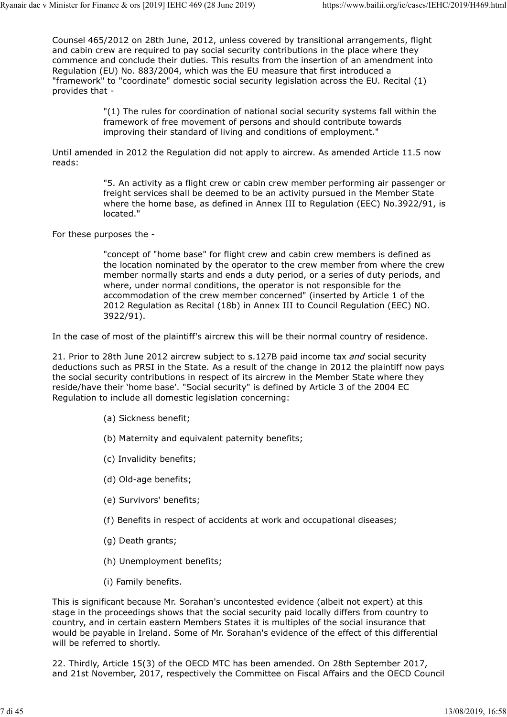Counsel 465/2012 on 28th June, 2012, unless covered by transitional arrangements, flight and cabin crew are required to pay social security contributions in the place where they commence and conclude their duties. This results from the insertion of an amendment into Regulation (EU) No. 883/2004, which was the EU measure that first introduced a "framework" to "coordinate" domestic social security legislation across the EU. Recital (1) provides that -

> "(1) The rules for coordination of national social security systems fall within the framework of free movement of persons and should contribute towards improving their standard of living and conditions of employment."

Until amended in 2012 the Regulation did not apply to aircrew. As amended Article 11.5 now reads:

> "5. An activity as a flight crew or cabin crew member performing air passenger or freight services shall be deemed to be an activity pursued in the Member State where the home base, as defined in Annex III to Regulation (EEC) No.3922/91, is located."

For these purposes the -

"concept of "home base" for flight crew and cabin crew members is defined as the location nominated by the operator to the crew member from where the crew member normally starts and ends a duty period, or a series of duty periods, and where, under normal conditions, the operator is not responsible for the accommodation of the crew member concerned" (inserted by Article 1 of the 2012 Regulation as Recital (18b) in Annex III to Council Regulation (EEC) NO. 3922/91).

In the case of most of the plaintiff's aircrew this will be their normal country of residence.

21. Prior to 28th June 2012 aircrew subject to s.127B paid income tax *and* social security deductions such as PRSI in the State. As a result of the change in 2012 the plaintiff now pays the social security contributions in respect of its aircrew in the Member State where they reside/have their 'home base'. "Social security" is defined by Article 3 of the 2004 EC Regulation to include all domestic legislation concerning:

- (a) Sickness benefit;
- (b) Maternity and equivalent paternity benefits;
- (c) Invalidity benefits;
- (d) Old-age benefits;
- (e) Survivors' benefits;
- (f) Benefits in respect of accidents at work and occupational diseases;
- (g) Death grants;
- (h) Unemployment benefits;
- (i) Family benefits.

This is significant because Mr. Sorahan's uncontested evidence (albeit not expert) at this stage in the proceedings shows that the social security paid locally differs from country to country, and in certain eastern Members States it is multiples of the social insurance that would be payable in Ireland. Some of Mr. Sorahan's evidence of the effect of this differential will be referred to shortly.

22. Thirdly, Article 15(3) of the OECD MTC has been amended. On 28th September 2017, and 21st November, 2017, respectively the Committee on Fiscal Affairs and the OECD Council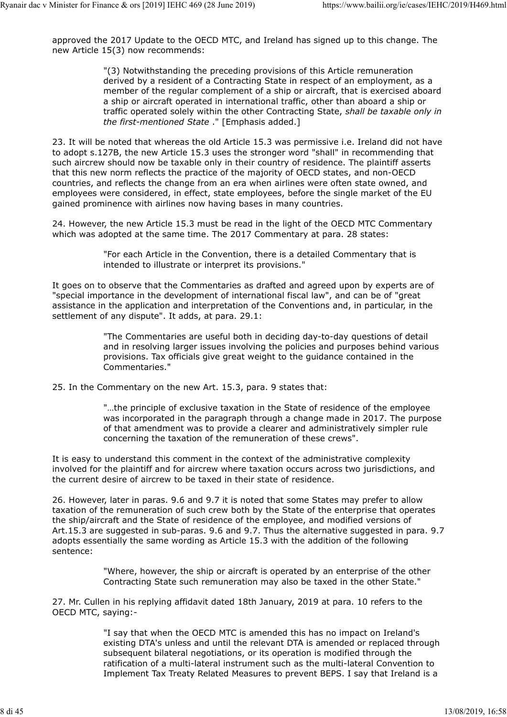approved the 2017 Update to the OECD MTC, and Ireland has signed up to this change. The new Article 15(3) now recommends:

> "(3) Notwithstanding the preceding provisions of this Article remuneration derived by a resident of a Contracting State in respect of an employment, as a member of the regular complement of a ship or aircraft, that is exercised aboard a ship or aircraft operated in international traffic, other than aboard a ship or traffic operated solely within the other Contracting State, *shall be taxable only in the first-mentioned State* ." [Emphasis added.]

23. It will be noted that whereas the old Article 15.3 was permissive i.e. Ireland did not have to adopt s.127B, the new Article 15.3 uses the stronger word "shall" in recommending that such aircrew should now be taxable only in their country of residence. The plaintiff asserts that this new norm reflects the practice of the majority of OECD states, and non-OECD countries, and reflects the change from an era when airlines were often state owned, and employees were considered, in effect, state employees, before the single market of the EU gained prominence with airlines now having bases in many countries.

24. However, the new Article 15.3 must be read in the light of the OECD MTC Commentary which was adopted at the same time. The 2017 Commentary at para. 28 states:

> "For each Article in the Convention, there is a detailed Commentary that is intended to illustrate or interpret its provisions."

It goes on to observe that the Commentaries as drafted and agreed upon by experts are of "special importance in the development of international fiscal law", and can be of "great assistance in the application and interpretation of the Conventions and, in particular, in the settlement of any dispute". It adds, at para. 29.1:

> "The Commentaries are useful both in deciding day-to-day questions of detail and in resolving larger issues involving the policies and purposes behind various provisions. Tax officials give great weight to the guidance contained in the Commentaries."

25. In the Commentary on the new Art. 15.3, para. 9 states that:

"…the principle of exclusive taxation in the State of residence of the employee was incorporated in the paragraph through a change made in 2017. The purpose of that amendment was to provide a clearer and administratively simpler rule concerning the taxation of the remuneration of these crews".

It is easy to understand this comment in the context of the administrative complexity involved for the plaintiff and for aircrew where taxation occurs across two jurisdictions, and the current desire of aircrew to be taxed in their state of residence.

26. However, later in paras. 9.6 and 9.7 it is noted that some States may prefer to allow taxation of the remuneration of such crew both by the State of the enterprise that operates the ship/aircraft and the State of residence of the employee, and modified versions of Art.15.3 are suggested in sub-paras. 9.6 and 9.7. Thus the alternative suggested in para. 9.7 adopts essentially the same wording as Article 15.3 with the addition of the following sentence:

> "Where, however, the ship or aircraft is operated by an enterprise of the other Contracting State such remuneration may also be taxed in the other State."

27. Mr. Cullen in his replying affidavit dated 18th January, 2019 at para. 10 refers to the OECD MTC, saying:-

> "I say that when the OECD MTC is amended this has no impact on Ireland's existing DTA's unless and until the relevant DTA is amended or replaced through subsequent bilateral negotiations, or its operation is modified through the ratification of a multi-lateral instrument such as the multi-lateral Convention to Implement Tax Treaty Related Measures to prevent BEPS. I say that Ireland is a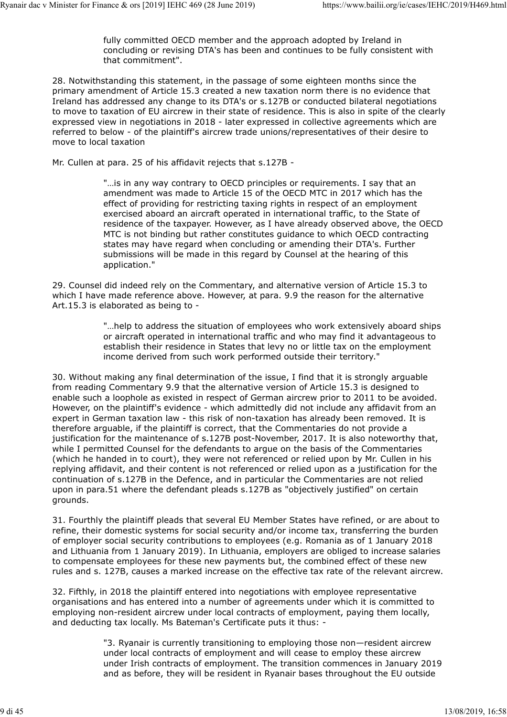fully committed OECD member and the approach adopted by Ireland in concluding or revising DTA's has been and continues to be fully consistent with that commitment".

28. Notwithstanding this statement, in the passage of some eighteen months since the primary amendment of Article 15.3 created a new taxation norm there is no evidence that Ireland has addressed any change to its DTA's or s.127B or conducted bilateral negotiations to move to taxation of EU aircrew in their state of residence. This is also in spite of the clearly expressed view in negotiations in 2018 - later expressed in collective agreements which are referred to below - of the plaintiff's aircrew trade unions/representatives of their desire to move to local taxation

Mr. Cullen at para. 25 of his affidavit rejects that s.127B -

"…is in any way contrary to OECD principles or requirements. I say that an amendment was made to Article 15 of the OECD MTC in 2017 which has the effect of providing for restricting taxing rights in respect of an employment exercised aboard an aircraft operated in international traffic, to the State of residence of the taxpayer. However, as I have already observed above, the OECD MTC is not binding but rather constitutes guidance to which OECD contracting states may have regard when concluding or amending their DTA's. Further submissions will be made in this regard by Counsel at the hearing of this application."

29. Counsel did indeed rely on the Commentary, and alternative version of Article 15.3 to which I have made reference above. However, at para. 9.9 the reason for the alternative Art.15.3 is elaborated as being to -

> "…help to address the situation of employees who work extensively aboard ships or aircraft operated in international traffic and who may find it advantageous to establish their residence in States that levy no or little tax on the employment income derived from such work performed outside their territory."

30. Without making any final determination of the issue, I find that it is strongly arguable from reading Commentary 9.9 that the alternative version of Article 15.3 is designed to enable such a loophole as existed in respect of German aircrew prior to 2011 to be avoided. However, on the plaintiff's evidence - which admittedly did not include any affidavit from an expert in German taxation law - this risk of non-taxation has already been removed. It is therefore arguable, if the plaintiff is correct, that the Commentaries do not provide a justification for the maintenance of s.127B post-November, 2017. It is also noteworthy that, while I permitted Counsel for the defendants to argue on the basis of the Commentaries (which he handed in to court), they were not referenced or relied upon by Mr. Cullen in his replying affidavit, and their content is not referenced or relied upon as a justification for the continuation of s.127B in the Defence, and in particular the Commentaries are not relied upon in para.51 where the defendant pleads s.127B as "objectively justified" on certain grounds.

31. Fourthly the plaintiff pleads that several EU Member States have refined, or are about to refine, their domestic systems for social security and/or income tax, transferring the burden of employer social security contributions to employees (e.g. Romania as of 1 January 2018 and Lithuania from 1 January 2019). In Lithuania, employers are obliged to increase salaries to compensate employees for these new payments but, the combined effect of these new rules and s. 127B, causes a marked increase on the effective tax rate of the relevant aircrew.

32. Fifthly, in 2018 the plaintiff entered into negotiations with employee representative organisations and has entered into a number of agreements under which it is committed to employing non-resident aircrew under local contracts of employment, paying them locally, and deducting tax locally. Ms Bateman's Certificate puts it thus: -

> "3. Ryanair is currently transitioning to employing those non—resident aircrew under local contracts of employment and will cease to employ these aircrew under Irish contracts of employment. The transition commences in January 2019 and as before, they will be resident in Ryanair bases throughout the EU outside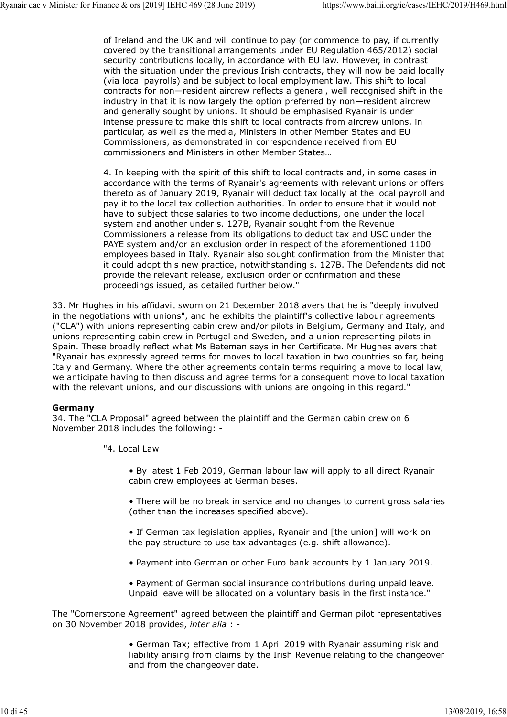of Ireland and the UK and will continue to pay (or commence to pay, if currently covered by the transitional arrangements under EU Regulation 465/2012) social security contributions locally, in accordance with EU law. However, in contrast with the situation under the previous Irish contracts, they will now be paid locally (via local payrolls) and be subject to local employment law. This shift to local contracts for non—resident aircrew reflects a general, well recognised shift in the industry in that it is now largely the option preferred by non—resident aircrew and generally sought by unions. It should be emphasised Ryanair is under intense pressure to make this shift to local contracts from aircrew unions, in particular, as well as the media, Ministers in other Member States and EU Commissioners, as demonstrated in correspondence received from EU commissioners and Ministers in other Member States…

4. In keeping with the spirit of this shift to local contracts and, in some cases in accordance with the terms of Ryanair's agreements with relevant unions or offers thereto as of January 2019, Ryanair will deduct tax locally at the local payroll and pay it to the local tax collection authorities. In order to ensure that it would not have to subject those salaries to two income deductions, one under the local system and another under s. 127B, Ryanair sought from the Revenue Commissioners a release from its obligations to deduct tax and USC under the PAYE system and/or an exclusion order in respect of the aforementioned 1100 employees based in Italy. Ryanair also sought confirmation from the Minister that it could adopt this new practice, notwithstanding s. 127B. The Defendants did not provide the relevant release, exclusion order or confirmation and these proceedings issued, as detailed further below."

33. Mr Hughes in his affidavit sworn on 21 December 2018 avers that he is "deeply involved in the negotiations with unions", and he exhibits the plaintiff's collective labour agreements ("CLA") with unions representing cabin crew and/or pilots in Belgium, Germany and Italy, and unions representing cabin crew in Portugal and Sweden, and a union representing pilots in Spain. These broadly reflect what Ms Bateman says in her Certificate. Mr Hughes avers that "Ryanair has expressly agreed terms for moves to local taxation in two countries so far, being Italy and Germany. Where the other agreements contain terms requiring a move to local law, we anticipate having to then discuss and agree terms for a consequent move to local taxation with the relevant unions, and our discussions with unions are ongoing in this regard."

#### Germany

34. The "CLA Proposal" agreed between the plaintiff and the German cabin crew on 6 November 2018 includes the following: -

- "4. Local Law
	- By latest 1 Feb 2019, German labour law will apply to all direct Ryanair cabin crew employees at German bases.
	- There will be no break in service and no changes to current gross salaries (other than the increases specified above).
	- If German tax legislation applies, Ryanair and [the union] will work on the pay structure to use tax advantages (e.g. shift allowance).
	- Payment into German or other Euro bank accounts by 1 January 2019.

• Payment of German social insurance contributions during unpaid leave. Unpaid leave will be allocated on a voluntary basis in the first instance."

The "Cornerstone Agreement" agreed between the plaintiff and German pilot representatives on 30 November 2018 provides, *inter alia* : -

> • German Tax; effective from 1 April 2019 with Ryanair assuming risk and liability arising from claims by the Irish Revenue relating to the changeover and from the changeover date.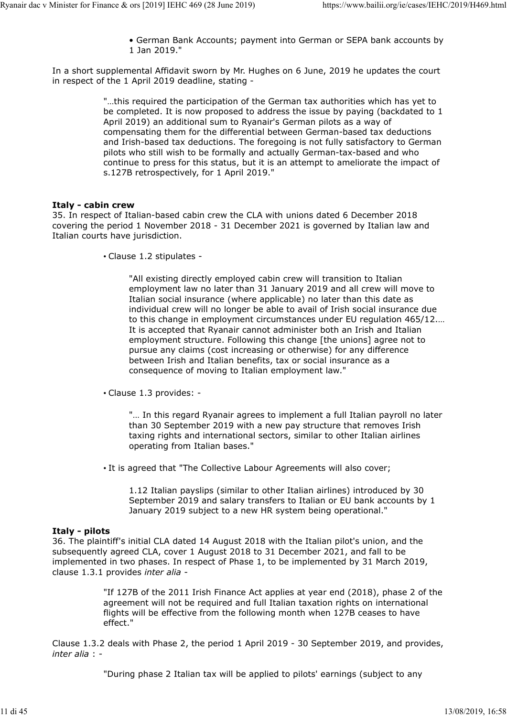• German Bank Accounts; payment into German or SEPA bank accounts by 1 Jan 2019."

In a short supplemental Affidavit sworn by Mr. Hughes on 6 June, 2019 he updates the court in respect of the 1 April 2019 deadline, stating -

> "…this required the participation of the German tax authorities which has yet to be completed. It is now proposed to address the issue by paying (backdated to 1 April 2019) an additional sum to Ryanair's German pilots as a way of compensating them for the differential between German-based tax deductions and Irish-based tax deductions. The foregoing is not fully satisfactory to German pilots who still wish to be formally and actually German-tax-based and who continue to press for this status, but it is an attempt to ameliorate the impact of s.127B retrospectively, for 1 April 2019."

#### Italy - cabin crew

35. In respect of Italian-based cabin crew the CLA with unions dated 6 December 2018 covering the period 1 November 2018 - 31 December 2021 is governed by Italian law and Italian courts have jurisdiction.

• Clause 1.2 stipulates -

"All existing directly employed cabin crew will transition to Italian employment law no later than 31 January 2019 and all crew will move to Italian social insurance (where applicable) no later than this date as individual crew will no longer be able to avail of Irish social insurance due to this change in employment circumstances under EU regulation 465/12.… It is accepted that Ryanair cannot administer both an Irish and Italian employment structure. Following this change [the unions] agree not to pursue any claims (cost increasing or otherwise) for any difference between Irish and Italian benefits, tax or social insurance as a consequence of moving to Italian employment law."

• Clause 1.3 provides: -

"… In this regard Ryanair agrees to implement a full Italian payroll no later than 30 September 2019 with a new pay structure that removes Irish taxing rights and international sectors, similar to other Italian airlines operating from Italian bases."

• It is agreed that "The Collective Labour Agreements will also cover;

1.12 Italian payslips (similar to other Italian airlines) introduced by 30 September 2019 and salary transfers to Italian or EU bank accounts by 1 January 2019 subject to a new HR system being operational."

## Italy - pilots

36. The plaintiff's initial CLA dated 14 August 2018 with the Italian pilot's union, and the subsequently agreed CLA, cover 1 August 2018 to 31 December 2021, and fall to be implemented in two phases. In respect of Phase 1, to be implemented by 31 March 2019, clause 1.3.1 provides *inter alia* -

> "If 127B of the 2011 Irish Finance Act applies at year end (2018), phase 2 of the agreement will not be required and full Italian taxation rights on international flights will be effective from the following month when 127B ceases to have effect."

Clause 1.3.2 deals with Phase 2, the period 1 April 2019 - 30 September 2019, and provides, *inter alia* : -

"During phase 2 Italian tax will be applied to pilots' earnings (subject to any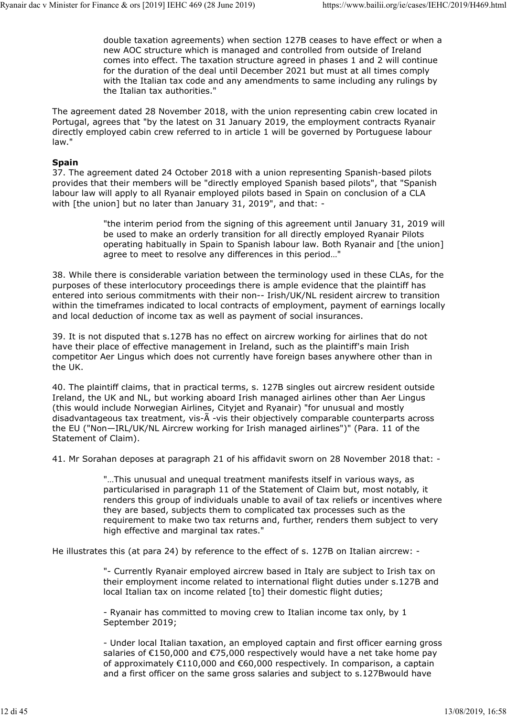double taxation agreements) when section 127B ceases to have effect or when a new AOC structure which is managed and controlled from outside of Ireland comes into effect. The taxation structure agreed in phases 1 and 2 will continue for the duration of the deal until December 2021 but must at all times comply with the Italian tax code and any amendments to same including any rulings by the Italian tax authorities."

The agreement dated 28 November 2018, with the union representing cabin crew located in Portugal, agrees that "by the latest on 31 January 2019, the employment contracts Ryanair directly employed cabin crew referred to in article 1 will be governed by Portuguese labour law."

#### Spain

37. The agreement dated 24 October 2018 with a union representing Spanish-based pilots provides that their members will be "directly employed Spanish based pilots", that "Spanish labour law will apply to all Ryanair employed pilots based in Spain on conclusion of a CLA with [the union] but no later than January 31, 2019", and that: -

> "the interim period from the signing of this agreement until January 31, 2019 will be used to make an orderly transition for all directly employed Ryanair Pilots operating habitually in Spain to Spanish labour law. Both Ryanair and [the union] agree to meet to resolve any differences in this period…"

38. While there is considerable variation between the terminology used in these CLAs, for the purposes of these interlocutory proceedings there is ample evidence that the plaintiff has entered into serious commitments with their non-- Irish/UK/NL resident aircrew to transition within the timeframes indicated to local contracts of employment, payment of earnings locally and local deduction of income tax as well as payment of social insurances.

39. It is not disputed that s.127B has no effect on aircrew working for airlines that do not have their place of effective management in Ireland, such as the plaintiff's main Irish competitor Aer Lingus which does not currently have foreign bases anywhere other than in the UK.

40. The plaintiff claims, that in practical terms, s. 127B singles out aircrew resident outside Ireland, the UK and NL, but working aboard Irish managed airlines other than Aer Lingus (this would include Norwegian Airlines, Cityjet and Ryanair) "for unusual and mostly disadvantageous tax treatment, vis-Ã -vis their objectively comparable counterparts across the EU ("Non—IRL/UK/NL Aircrew working for Irish managed airlines")" (Para. 11 of the Statement of Claim).

41. Mr Sorahan deposes at paragraph 21 of his affidavit sworn on 28 November 2018 that: -

"…This unusual and unequal treatment manifests itself in various ways, as particularised in paragraph 11 of the Statement of Claim but, most notably, it renders this group of individuals unable to avail of tax reliefs or incentives where they are based, subjects them to complicated tax processes such as the requirement to make two tax returns and, further, renders them subject to very high effective and marginal tax rates."

He illustrates this (at para 24) by reference to the effect of s. 127B on Italian aircrew: -

"- Currently Ryanair employed aircrew based in Italy are subject to Irish tax on their employment income related to international flight duties under s.127B and local Italian tax on income related [to] their domestic flight duties;

- Ryanair has committed to moving crew to Italian income tax only, by 1 September 2019;

- Under local Italian taxation, an employed captain and first officer earning gross salaries of €150,000 and €75,000 respectively would have a net take home pay of approximately €110,000 and €60,000 respectively. In comparison, a captain and a first officer on the same gross salaries and subject to s.127Bwould have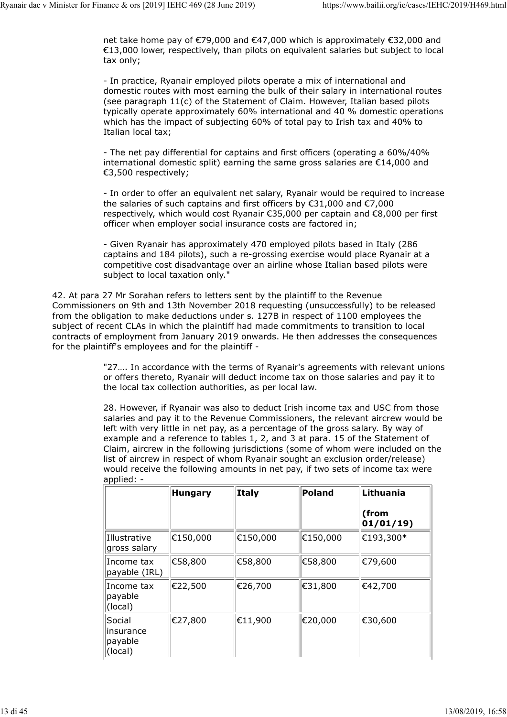net take home pay of €79,000 and €47,000 which is approximately €32,000 and €13,000 lower, respectively, than pilots on equivalent salaries but subject to local tax only;

- In practice, Ryanair employed pilots operate a mix of international and domestic routes with most earning the bulk of their salary in international routes (see paragraph 11(c) of the Statement of Claim. However, Italian based pilots typically operate approximately 60% international and 40 % domestic operations which has the impact of subjecting 60% of total pay to Irish tax and 40% to Italian local tax;

- The net pay differential for captains and first officers (operating a 60%/40% international domestic split) earning the same gross salaries are €14,000 and €3,500 respectively;

- In order to offer an equivalent net salary, Ryanair would be required to increase the salaries of such captains and first officers by €31,000 and €7,000 respectively, which would cost Ryanair €35,000 per captain and €8,000 per first officer when employer social insurance costs are factored in;

- Given Ryanair has approximately 470 employed pilots based in Italy (286 captains and 184 pilots), such a re-grossing exercise would place Ryanair at a competitive cost disadvantage over an airline whose Italian based pilots were subject to local taxation only."

42. At para 27 Mr Sorahan refers to letters sent by the plaintiff to the Revenue Commissioners on 9th and 13th November 2018 requesting (unsuccessfully) to be released from the obligation to make deductions under s. 127B in respect of 1100 employees the subject of recent CLAs in which the plaintiff had made commitments to transition to local contracts of employment from January 2019 onwards. He then addresses the consequences for the plaintiff's employees and for the plaintiff -

> "27…. In accordance with the terms of Ryanair's agreements with relevant unions or offers thereto, Ryanair will deduct income tax on those salaries and pay it to the local tax collection authorities, as per local law.

> 28. However, if Ryanair was also to deduct Irish income tax and USC from those salaries and pay it to the Revenue Commissioners, the relevant aircrew would be left with very little in net pay, as a percentage of the gross salary. By way of example and a reference to tables 1, 2, and 3 at para. 15 of the Statement of Claim, aircrew in the following jurisdictions (some of whom were included on the list of aircrew in respect of whom Ryanair sought an exclusion order/release) would receive the following amounts in net pay, if two sets of income tax were applied: -

|                                           | <b>Hungary</b> | <b>Italy</b><br>Poland |          | Lithuania                   |  |  |
|-------------------------------------------|----------------|------------------------|----------|-----------------------------|--|--|
|                                           |                |                        |          | (from<br>$ 01/01/19\rangle$ |  |  |
| Illustrative<br>gross salary              | €150,000       | €150,000               | €150,000 | €193,300*                   |  |  |
| Income tax<br>payable (IRL)               | €58,800        | €58,800                | €58,800  | €79,600                     |  |  |
| Income tax<br>payable<br>(local)          | €22,500        | €26,700                | €31,800  | €42,700                     |  |  |
| Social<br>insurance<br>payable<br>(local) | €27,800        | $ \epsilon$ 11,900     | €20,000  | €30,600                     |  |  |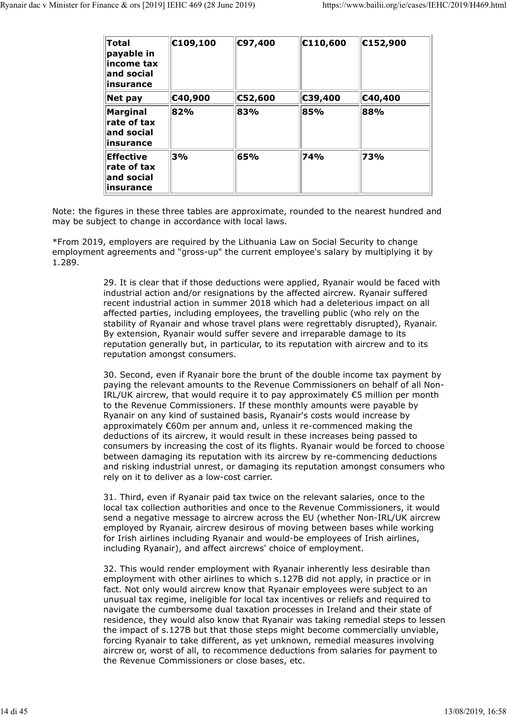| Total<br>payable in<br>lincome tax<br>and social<br>insurance | E109,100 | €97,400 | €110,600       | €152,900 |
|---------------------------------------------------------------|----------|---------|----------------|----------|
| Net pay                                                       | €40,900  | €52,600 | <b>C39,400</b> | €40,400  |
| Marginal<br>rate of tax<br>and social<br>insurance            | 82%      | 83%     | 85%            | 88%      |
| Effective<br>rate of tax<br>and social<br>insurance           | 3%       | 65%     | 74%            | 73%      |

Note: the figures in these three tables are approximate, rounded to the nearest hundred and may be subject to change in accordance with local laws.

\*From 2019, employers are required by the Lithuania Law on Social Security to change employment agreements and "gross-up" the current employee's salary by multiplying it by 1.289.

> 29. It is clear that if those deductions were applied, Ryanair would be faced with industrial action and/or resignations by the affected aircrew. Ryanair suffered recent industrial action in summer 2018 which had a deleterious impact on all affected parties, including employees, the travelling public (who rely on the stability of Ryanair and whose travel plans were regrettably disrupted), Ryanair. By extension, Ryanair would suffer severe and irreparable damage to its reputation generally but, in particular, to its reputation with aircrew and to its reputation amongst consumers.

30. Second, even if Ryanair bore the brunt of the double income tax payment by paying the relevant amounts to the Revenue Commissioners on behalf of all Non-IRL/UK aircrew, that would require it to pay approximately €5 million per month to the Revenue Commissioners. If these monthly amounts were payable by Ryanair on any kind of sustained basis, Ryanair's costs would increase by approximately €60m per annum and, unless it re-commenced making the deductions of its aircrew, it would result in these increases being passed to consumers by increasing the cost of its flights. Ryanair would be forced to choose between damaging its reputation with its aircrew by re-commencing deductions and risking industrial unrest, or damaging its reputation amongst consumers who rely on it to deliver as a low-cost carrier.

31. Third, even if Ryanair paid tax twice on the relevant salaries, once to the local tax collection authorities and once to the Revenue Commissioners, it would send a negative message to aircrew across the EU (whether Non-IRL/UK aircrew employed by Ryanair, aircrew desirous of moving between bases while working for Irish airlines including Ryanair and would-be employees of Irish airlines, including Ryanair), and affect aircrews' choice of employment.

32. This would render employment with Ryanair inherently less desirable than employment with other airlines to which s.127B did not apply, in practice or in fact. Not only would aircrew know that Ryanair employees were subject to an unusual tax regime, ineligible for local tax incentives or reliefs and required to navigate the cumbersome dual taxation processes in Ireland and their state of residence, they would also know that Ryanair was taking remedial steps to lessen the impact of s.127B but that those steps might become commercially unviable, forcing Ryanair to take different, as yet unknown, remedial measures involving aircrew or, worst of all, to recommence deductions from salaries for payment to the Revenue Commissioners or close bases, etc.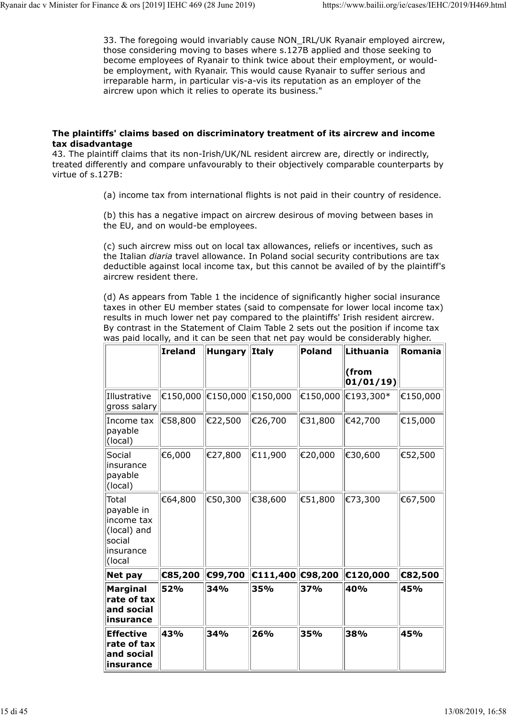33. The foregoing would invariably cause NON\_IRL/UK Ryanair employed aircrew, those considering moving to bases where s.127B applied and those seeking to become employees of Ryanair to think twice about their employment, or wouldbe employment, with Ryanair. This would cause Ryanair to suffer serious and irreparable harm, in particular vis-a-vis its reputation as an employer of the aircrew upon which it relies to operate its business."

#### The plaintiffs' claims based on discriminatory treatment of its aircrew and income tax disadvantage

43. The plaintiff claims that its non-Irish/UK/NL resident aircrew are, directly or indirectly, treated differently and compare unfavourably to their objectively comparable counterparts by virtue of s.127B:

(a) income tax from international flights is not paid in their country of residence.

(b) this has a negative impact on aircrew desirous of moving between bases in the EU, and on would-be employees.

(c) such aircrew miss out on local tax allowances, reliefs or incentives, such as the Italian *diaria* travel allowance. In Poland social security contributions are tax deductible against local income tax, but this cannot be availed of by the plaintiff's aircrew resident there.

(d) As appears from Table 1 the incidence of significantly higher social insurance taxes in other EU member states (said to compensate for lower local income tax) results in much lower net pay compared to the plaintiffs' Irish resident aircrew. By contrast in the Statement of Claim Table 2 sets out the position if income tax was paid locally, and it can be seen that net pay would be considerably higher.

|                                                                                   | Ireland | Hungary Italy                                               |                  | <b>Poland</b>           | Lithuania<br>(from<br>01/01/19) | <b>Romania</b> |
|-----------------------------------------------------------------------------------|---------|-------------------------------------------------------------|------------------|-------------------------|---------------------------------|----------------|
| Illustrative<br>gross salary                                                      |         | $ \epsilon$ 150,000 $ \epsilon$ 150,000 $ \epsilon$ 150,000 |                  | $ \epsilon$ 150,000 $ $ | €193,300*                       | €150,000       |
| Income tax<br>payable<br>(local)                                                  | €58,800 | €22,500                                                     | €26,700          | €31,800                 | €42,700                         | €15,000        |
| Social<br>insurance<br>payable<br>(local)                                         | €6,000  | €27,800                                                     | ∈11,900          | €20,000                 | €30,600                         | €52,500        |
| Total<br>payable in<br>income tax<br>(local) and<br>social<br>insurance<br>(local | €64,800 | €50,300                                                     | €38,600          | €51,800                 | €73,300                         | €67,500        |
| Net pay                                                                           | €85,200 | €99,700                                                     | C111,400 C98,200 |                         | €120,000                        | €82,500        |
| <b>Marginal</b><br>rate of tax<br>and social<br>insurance                         | 52%     | 34%                                                         | 35%              | 37%                     | 40%                             | 45%            |
| <b>Effective</b><br>rate of tax<br>and social<br>insurance                        | 43%     | 34%                                                         | 26%              | 35%                     | 38%                             | 45%            |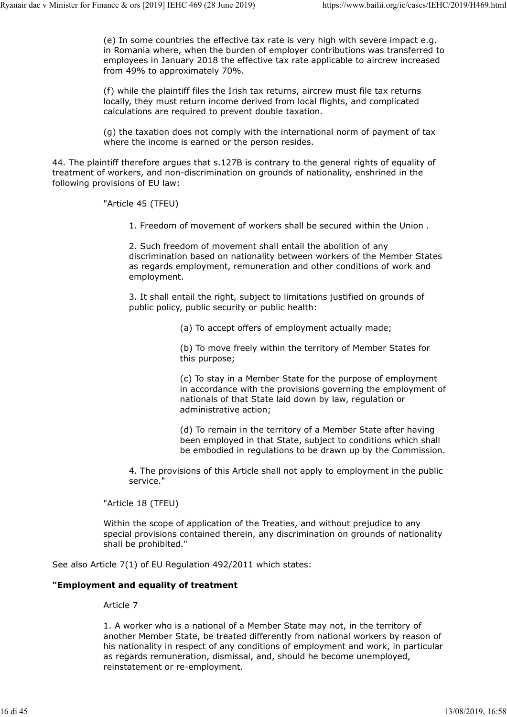(e) In some countries the effective tax rate is very high with severe impact e.g. in Romania where, when the burden of employer contributions was transferred to employees in January 2018 the effective tax rate applicable to aircrew increased from 49% to approximately 70%.

(f) while the plaintiff files the Irish tax returns, aircrew must file tax returns locally, they must return income derived from local flights, and complicated calculations are required to prevent double taxation.

(g) the taxation does not comply with the international norm of payment of tax where the income is earned or the person resides.

44. The plaintiff therefore argues that s.127B is contrary to the general rights of equality of treatment of workers, and non-discrimination on grounds of nationality, enshrined in the following provisions of EU law:

"Article 45 (TFEU)

1. Freedom of movement of workers shall be secured within the Union .

2. Such freedom of movement shall entail the abolition of any discrimination based on nationality between workers of the Member States as regards employment, remuneration and other conditions of work and employment.

3. It shall entail the right, subject to limitations justified on grounds of public policy, public security or public health:

(a) To accept offers of employment actually made;

(b) To move freely within the territory of Member States for this purpose;

(c) To stay in a Member State for the purpose of employment in accordance with the provisions governing the employment of nationals of that State laid down by law, regulation or administrative action;

(d) To remain in the territory of a Member State after having been employed in that State, subject to conditions which shall be embodied in regulations to be drawn up by the Commission.

4. The provisions of this Article shall not apply to employment in the public service."

"Article 18 (TFEU)

Within the scope of application of the Treaties, and without prejudice to any special provisions contained therein, any discrimination on grounds of nationality shall be prohibited."

See also Article 7(1) of EU Regulation 492/2011 which states:

#### "Employment and equality of treatment

Article 7

1. A worker who is a national of a Member State may not, in the territory of another Member State, be treated differently from national workers by reason of his nationality in respect of any conditions of employment and work, in particular as regards remuneration, dismissal, and, should he become unemployed, reinstatement or re-employment.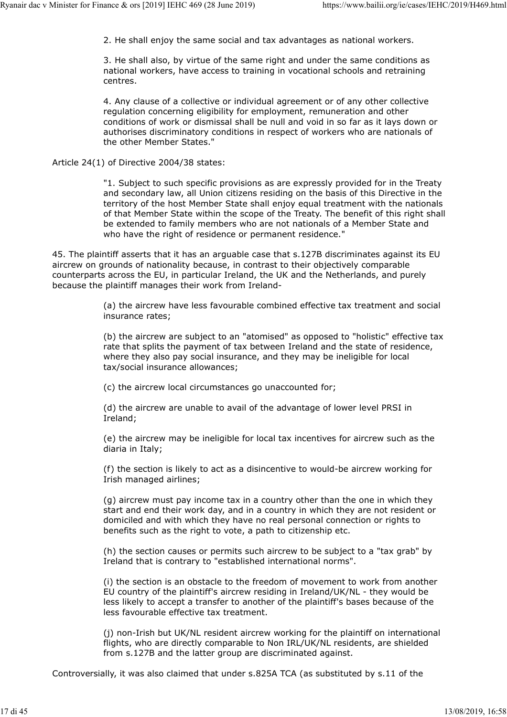2. He shall enjoy the same social and tax advantages as national workers.

3. He shall also, by virtue of the same right and under the same conditions as national workers, have access to training in vocational schools and retraining centres.

4. Any clause of a collective or individual agreement or of any other collective regulation concerning eligibility for employment, remuneration and other conditions of work or dismissal shall be null and void in so far as it lays down or authorises discriminatory conditions in respect of workers who are nationals of the other Member States."

Article 24(1) of Directive 2004/38 states:

"1. Subject to such specific provisions as are expressly provided for in the Treaty and secondary law, all Union citizens residing on the basis of this Directive in the territory of the host Member State shall enjoy equal treatment with the nationals of that Member State within the scope of the Treaty. The benefit of this right shall be extended to family members who are not nationals of a Member State and who have the right of residence or permanent residence."

45. The plaintiff asserts that it has an arguable case that s.127B discriminates against its EU aircrew on grounds of nationality because, in contrast to their objectively comparable counterparts across the EU, in particular Ireland, the UK and the Netherlands, and purely because the plaintiff manages their work from Ireland-

> (a) the aircrew have less favourable combined effective tax treatment and social insurance rates;

> (b) the aircrew are subject to an "atomised" as opposed to "holistic" effective tax rate that splits the payment of tax between Ireland and the state of residence, where they also pay social insurance, and they may be ineligible for local tax/social insurance allowances;

(c) the aircrew local circumstances go unaccounted for;

(d) the aircrew are unable to avail of the advantage of lower level PRSI in Ireland;

(e) the aircrew may be ineligible for local tax incentives for aircrew such as the diaria in Italy;

(f) the section is likely to act as a disincentive to would-be aircrew working for Irish managed airlines;

(g) aircrew must pay income tax in a country other than the one in which they start and end their work day, and in a country in which they are not resident or domiciled and with which they have no real personal connection or rights to benefits such as the right to vote, a path to citizenship etc.

(h) the section causes or permits such aircrew to be subject to a "tax grab" by Ireland that is contrary to "established international norms".

(i) the section is an obstacle to the freedom of movement to work from another EU country of the plaintiff's aircrew residing in Ireland/UK/NL - they would be less likely to accept a transfer to another of the plaintiff's bases because of the less favourable effective tax treatment.

(j) non-Irish but UK/NL resident aircrew working for the plaintiff on international flights, who are directly comparable to Non IRL/UK/NL residents, are shielded from s.127B and the latter group are discriminated against.

Controversially, it was also claimed that under s.825A TCA (as substituted by s.11 of the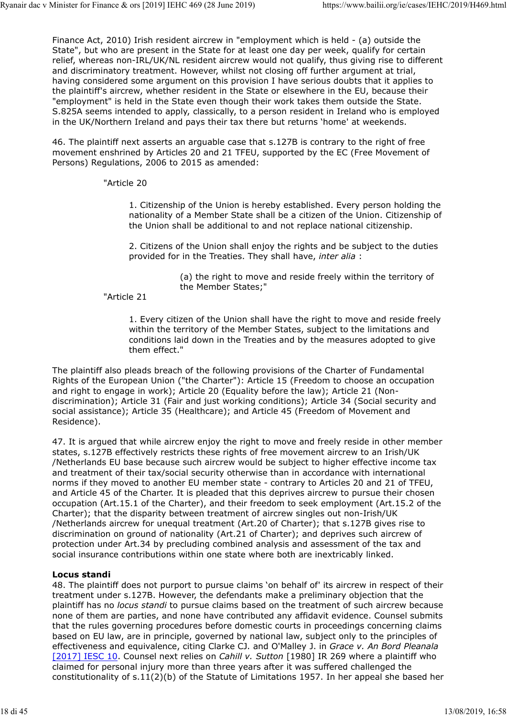Finance Act, 2010) Irish resident aircrew in "employment which is held - (a) outside the State", but who are present in the State for at least one day per week, qualify for certain relief, whereas non-IRL/UK/NL resident aircrew would not qualify, thus giving rise to different and discriminatory treatment. However, whilst not closing off further argument at trial, having considered some argument on this provision I have serious doubts that it applies to the plaintiff's aircrew, whether resident in the State or elsewhere in the EU, because their "employment" is held in the State even though their work takes them outside the State. S.825A seems intended to apply, classically, to a person resident in Ireland who is employed in the UK/Northern Ireland and pays their tax there but returns 'home' at weekends.

46. The plaintiff next asserts an arguable case that s.127B is contrary to the right of free movement enshrined by Articles 20 and 21 TFEU, supported by the EC (Free Movement of Persons) Regulations, 2006 to 2015 as amended:

#### "Article 20

1. Citizenship of the Union is hereby established. Every person holding the nationality of a Member State shall be a citizen of the Union. Citizenship of the Union shall be additional to and not replace national citizenship.

2. Citizens of the Union shall enjoy the rights and be subject to the duties provided for in the Treaties. They shall have, *inter alia* :

> (a) the right to move and reside freely within the territory of the Member States;"

#### "Article 21

1. Every citizen of the Union shall have the right to move and reside freely within the territory of the Member States, subject to the limitations and conditions laid down in the Treaties and by the measures adopted to give them effect."

The plaintiff also pleads breach of the following provisions of the Charter of Fundamental Rights of the European Union ("the Charter"): Article 15 (Freedom to choose an occupation and right to engage in work); Article 20 (Equality before the law); Article 21 (Nondiscrimination); Article 31 (Fair and just working conditions); Article 34 (Social security and social assistance); Article 35 (Healthcare); and Article 45 (Freedom of Movement and Residence).

47. It is argued that while aircrew enjoy the right to move and freely reside in other member states, s.127B effectively restricts these rights of free movement aircrew to an Irish/UK /Netherlands EU base because such aircrew would be subject to higher effective income tax and treatment of their tax/social security otherwise than in accordance with international norms if they moved to another EU member state - contrary to Articles 20 and 21 of TFEU, and Article 45 of the Charter. It is pleaded that this deprives aircrew to pursue their chosen occupation (Art.15.1 of the Charter), and their freedom to seek employment (Art.15.2 of the Charter); that the disparity between treatment of aircrew singles out non-Irish/UK /Netherlands aircrew for unequal treatment (Art.20 of Charter); that s.127B gives rise to discrimination on ground of nationality (Art.21 of Charter); and deprives such aircrew of protection under Art.34 by precluding combined analysis and assessment of the tax and social insurance contributions within one state where both are inextricably linked.

## Locus standi

48. The plaintiff does not purport to pursue claims 'on behalf of' its aircrew in respect of their treatment under s.127B. However, the defendants make a preliminary objection that the plaintiff has no *locus standi* to pursue claims based on the treatment of such aircrew because none of them are parties, and none have contributed any affidavit evidence. Counsel submits that the rules governing procedures before domestic courts in proceedings concerning claims based on EU law, are in principle, governed by national law, subject only to the principles of effectiveness and equivalence, citing Clarke CJ. and O'Malley J. in *Grace v. An Bord Pleanala* [2017] IESC 10. Counsel next relies on *Cahill v. Sutton* [1980] IR 269 where a plaintiff who claimed for personal injury more than three years after it was suffered challenged the constitutionality of s.11(2)(b) of the Statute of Limitations 1957. In her appeal she based her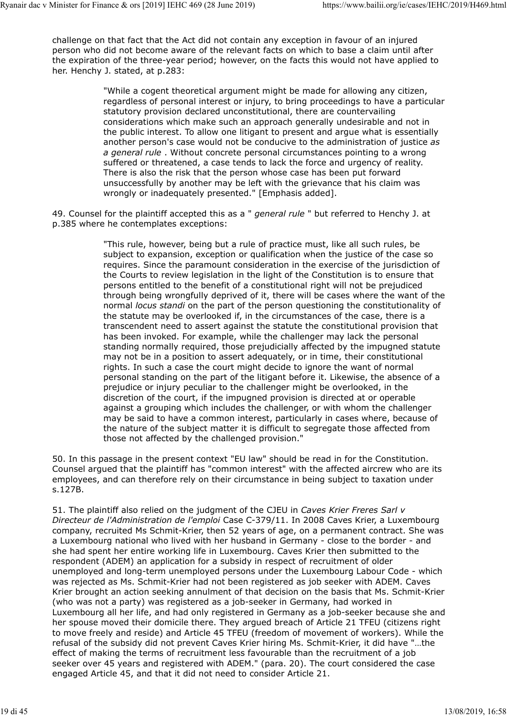challenge on that fact that the Act did not contain any exception in favour of an injured person who did not become aware of the relevant facts on which to base a claim until after the expiration of the three-year period; however, on the facts this would not have applied to her. Henchy J. stated, at p.283:

> "While a cogent theoretical argument might be made for allowing any citizen, regardless of personal interest or injury, to bring proceedings to have a particular statutory provision declared unconstitutional, there are countervailing considerations which make such an approach generally undesirable and not in the public interest. To allow one litigant to present and argue what is essentially another person's case would not be conducive to the administration of justice *as a general rule* . Without concrete personal circumstances pointing to a wrong suffered or threatened, a case tends to lack the force and urgency of reality. There is also the risk that the person whose case has been put forward unsuccessfully by another may be left with the grievance that his claim was wrongly or inadequately presented." [Emphasis added].

49. Counsel for the plaintiff accepted this as a " *general rule* " but referred to Henchy J. at p.385 where he contemplates exceptions:

> "This rule, however, being but a rule of practice must, like all such rules, be subject to expansion, exception or qualification when the justice of the case so requires. Since the paramount consideration in the exercise of the jurisdiction of the Courts to review legislation in the light of the Constitution is to ensure that persons entitled to the benefit of a constitutional right will not be prejudiced through being wrongfully deprived of it, there will be cases where the want of the normal *locus standi* on the part of the person questioning the constitutionality of the statute may be overlooked if, in the circumstances of the case, there is a transcendent need to assert against the statute the constitutional provision that has been invoked. For example, while the challenger may lack the personal standing normally required, those prejudicially affected by the impugned statute may not be in a position to assert adequately, or in time, their constitutional rights. In such a case the court might decide to ignore the want of normal personal standing on the part of the litigant before it. Likewise, the absence of a prejudice or injury peculiar to the challenger might be overlooked, in the discretion of the court, if the impugned provision is directed at or operable against a grouping which includes the challenger, or with whom the challenger may be said to have a common interest, particularly in cases where, because of the nature of the subject matter it is difficult to segregate those affected from those not affected by the challenged provision."

50. In this passage in the present context "EU law" should be read in for the Constitution. Counsel argued that the plaintiff has "common interest" with the affected aircrew who are its employees, and can therefore rely on their circumstance in being subject to taxation under s.127B.

51. The plaintiff also relied on the judgment of the CJEU in *Caves Krier Freres Sarl v Directeur de l'Administration de l'emploi* Case C-379/11. In 2008 Caves Krier, a Luxembourg company, recruited Ms Schmit-Krier, then 52 years of age, on a permanent contract. She was a Luxembourg national who lived with her husband in Germany - close to the border - and she had spent her entire working life in Luxembourg. Caves Krier then submitted to the respondent (ADEM) an application for a subsidy in respect of recruitment of older unemployed and long-term unemployed persons under the Luxembourg Labour Code - which was rejected as Ms. Schmit-Krier had not been registered as job seeker with ADEM. Caves Krier brought an action seeking annulment of that decision on the basis that Ms. Schmit-Krier (who was not a party) was registered as a job-seeker in Germany, had worked in Luxembourg all her life, and had only registered in Germany as a job-seeker because she and her spouse moved their domicile there. They argued breach of Article 21 TFEU (citizens right to move freely and reside) and Article 45 TFEU (freedom of movement of workers). While the refusal of the subsidy did not prevent Caves Krier hiring Ms. Schmit-Krier, it did have "…the effect of making the terms of recruitment less favourable than the recruitment of a job seeker over 45 years and registered with ADEM." (para. 20). The court considered the case engaged Article 45, and that it did not need to consider Article 21.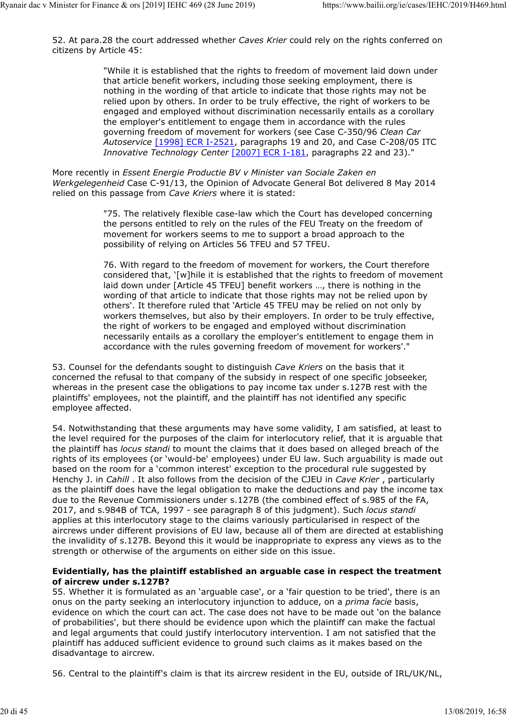52. At para.28 the court addressed whether *Caves Krier* could rely on the rights conferred on citizens by Article 45:

> "While it is established that the rights to freedom of movement laid down under that article benefit workers, including those seeking employment, there is nothing in the wording of that article to indicate that those rights may not be relied upon by others. In order to be truly effective, the right of workers to be engaged and employed without discrimination necessarily entails as a corollary the employer's entitlement to engage them in accordance with the rules governing freedom of movement for workers (see Case C-350/96 *Clean Car Autoservice* [1998] ECR I-2521, paragraphs 19 and 20, and Case C-208/05 ITC *Innovative Technology Center* [2007] ECR I-181, paragraphs 22 and 23)."

More recently in *Essent Energie Productie BV v Minister van Sociale Zaken en Werkgelegenheid* Case C-91/13, the Opinion of Advocate General Bot delivered 8 May 2014 relied on this passage from *Cave Kriers* where it is stated:

> "75. The relatively flexible case-law which the Court has developed concerning the persons entitled to rely on the rules of the FEU Treaty on the freedom of movement for workers seems to me to support a broad approach to the possibility of relying on Articles 56 TFEU and 57 TFEU.

76. With regard to the freedom of movement for workers, the Court therefore considered that, '[w]hile it is established that the rights to freedom of movement laid down under [Article 45 TFEU] benefit workers …, there is nothing in the wording of that article to indicate that those rights may not be relied upon by others'. It therefore ruled that 'Article 45 TFEU may be relied on not only by workers themselves, but also by their employers. In order to be truly effective, the right of workers to be engaged and employed without discrimination necessarily entails as a corollary the employer's entitlement to engage them in accordance with the rules governing freedom of movement for workers'."

53. Counsel for the defendants sought to distinguish *Cave Kriers* on the basis that it concerned the refusal to that company of the subsidy in respect of one specific jobseeker, whereas in the present case the obligations to pay income tax under s.127B rest with the plaintiffs' employees, not the plaintiff, and the plaintiff has not identified any specific employee affected.

54. Notwithstanding that these arguments may have some validity, I am satisfied, at least to the level required for the purposes of the claim for interlocutory relief, that it is arguable that the plaintiff has *locus standi* to mount the claims that it does based on alleged breach of the rights of its employees (or 'would-be' employees) under EU law. Such arguability is made out based on the room for a 'common interest' exception to the procedural rule suggested by Henchy J. in *Cahill* . It also follows from the decision of the CJEU in *Cave Krier* , particularly as the plaintiff does have the legal obligation to make the deductions and pay the income tax due to the Revenue Commissioners under s.127B (the combined effect of s.985 of the FA, 2017, and s.984B of TCA, 1997 - see paragraph 8 of this judgment). Such *locus standi* applies at this interlocutory stage to the claims variously particularised in respect of the aircrews under different provisions of EU law, because all of them are directed at establishing the invalidity of s.127B. Beyond this it would be inappropriate to express any views as to the strength or otherwise of the arguments on either side on this issue.

#### Evidentially, has the plaintiff established an arguable case in respect the treatment of aircrew under s.127B?

55. Whether it is formulated as an 'arguable case', or a 'fair question to be tried', there is an onus on the party seeking an interlocutory injunction to adduce, on a *prima facie* basis, evidence on which the court can act. The case does not have to be made out 'on the balance of probabilities', but there should be evidence upon which the plaintiff can make the factual and legal arguments that could justify interlocutory intervention. I am not satisfied that the plaintiff has adduced sufficient evidence to ground such claims as it makes based on the disadvantage to aircrew.

56. Central to the plaintiff's claim is that its aircrew resident in the EU, outside of IRL/UK/NL,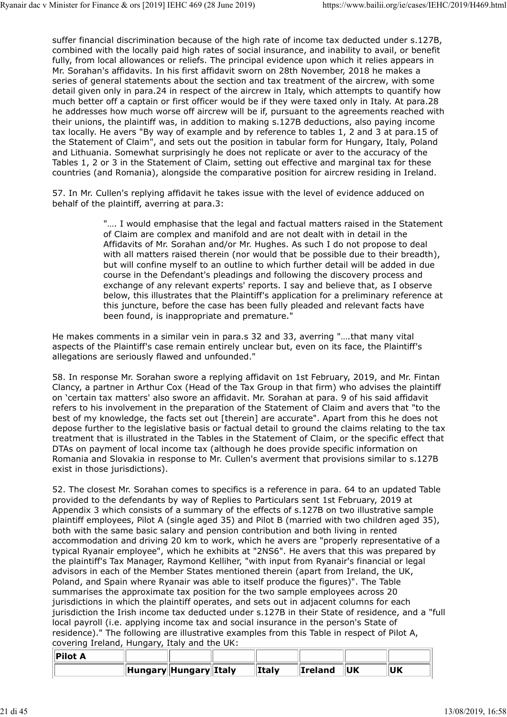suffer financial discrimination because of the high rate of income tax deducted under s.127B, combined with the locally paid high rates of social insurance, and inability to avail, or benefit fully, from local allowances or reliefs. The principal evidence upon which it relies appears in Mr. Sorahan's affidavits. In his first affidavit sworn on 28th November, 2018 he makes a series of general statements about the section and tax treatment of the aircrew, with some detail given only in para.24 in respect of the aircrew in Italy, which attempts to quantify how much better off a captain or first officer would be if they were taxed only in Italy. At para.28 he addresses how much worse off aircrew will be if, pursuant to the agreements reached with their unions, the plaintiff was, in addition to making s.127B deductions, also paying income tax locally. He avers "By way of example and by reference to tables 1, 2 and 3 at para.15 of the Statement of Claim", and sets out the position in tabular form for Hungary, Italy, Poland and Lithuania. Somewhat surprisingly he does not replicate or aver to the accuracy of the Tables 1, 2 or 3 in the Statement of Claim, setting out effective and marginal tax for these countries (and Romania), alongside the comparative position for aircrew residing in Ireland.

57. In Mr. Cullen's replying affidavit he takes issue with the level of evidence adduced on behalf of the plaintiff, averring at para.3:

> "…. I would emphasise that the legal and factual matters raised in the Statement of Claim are complex and manifold and are not dealt with in detail in the Affidavits of Mr. Sorahan and/or Mr. Hughes. As such I do not propose to deal with all matters raised therein (nor would that be possible due to their breadth), but will confine myself to an outline to which further detail will be added in due course in the Defendant's pleadings and following the discovery process and exchange of any relevant experts' reports. I say and believe that, as I observe below, this illustrates that the Plaintiff's application for a preliminary reference at this juncture, before the case has been fully pleaded and relevant facts have been found, is inappropriate and premature.'

He makes comments in a similar vein in para.s 32 and 33, averring "….that many vital aspects of the Plaintiff's case remain entirely unclear but, even on its face, the Plaintiff's allegations are seriously flawed and unfounded."

58. In response Mr. Sorahan swore a replying affidavit on 1st February, 2019, and Mr. Fintan Clancy, a partner in Arthur Cox (Head of the Tax Group in that firm) who advises the plaintiff on 'certain tax matters' also swore an affidavit. Mr. Sorahan at para. 9 of his said affidavit refers to his involvement in the preparation of the Statement of Claim and avers that "to the best of my knowledge, the facts set out [therein] are accurate". Apart from this he does not depose further to the legislative basis or factual detail to ground the claims relating to the tax treatment that is illustrated in the Tables in the Statement of Claim, or the specific effect that DTAs on payment of local income tax (although he does provide specific information on Romania and Slovakia in response to Mr. Cullen's averment that provisions similar to s.127B exist in those jurisdictions).

52. The closest Mr. Sorahan comes to specifics is a reference in para. 64 to an updated Table provided to the defendants by way of Replies to Particulars sent 1st February, 2019 at Appendix 3 which consists of a summary of the effects of s.127B on two illustrative sample plaintiff employees, Pilot A (single aged 35) and Pilot B (married with two children aged 35), both with the same basic salary and pension contribution and both living in rented accommodation and driving 20 km to work, which he avers are "properly representative of a typical Ryanair employee", which he exhibits at "2NS6". He avers that this was prepared by the plaintiff's Tax Manager, Raymond Kelliher, "with input from Ryanair's financial or legal advisors in each of the Member States mentioned therein (apart from Ireland, the UK, Poland, and Spain where Ryanair was able to itself produce the figures)". The Table summarises the approximate tax position for the two sample employees across 20 jurisdictions in which the plaintiff operates, and sets out in adjacent columns for each jurisdiction the Irish income tax deducted under s.127B in their State of residence, and a "full local payroll (i.e. applying income tax and social insurance in the person's State of residence)." The following are illustrative examples from this Table in respect of Pilot A, covering Ireland, Hungary, Italy and the UK:

| Pilot A |                                      |  |              |                |     |           |
|---------|--------------------------------------|--|--------------|----------------|-----|-----------|
|         | $\ $ Hungary $\ $ Hungary $\ $ Italy |  | <b>Italy</b> | <b>Ireland</b> | ∥UK | <b>UK</b> |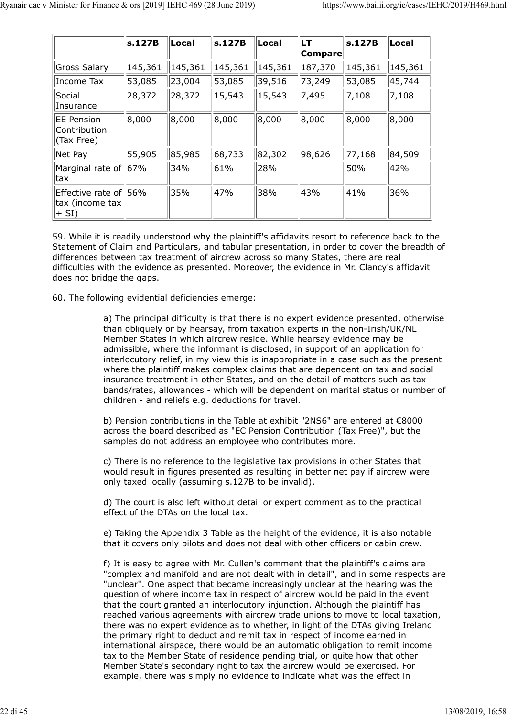|                                                    | s.127B  | Local   | s.127B  | Local   | ILT.<br><b>Compare</b> | s.127B  | Local   |
|----------------------------------------------------|---------|---------|---------|---------|------------------------|---------|---------|
| Gross Salary                                       | 145,361 | 145,361 | 145,361 | 145,361 | 187,370                | 145,361 | 145,361 |
| Income Tax                                         | 53,085  | 23,004  | 53,085  | 39,516  | 73,249                 | 53,085  | 45,744  |
| Social<br>lInsurance                               | 28,372  | 28,372  | 15,543  | 15,543  | 7,495                  | 7,108   | 7,108   |
| <b>IEE Pension</b><br>Contribution<br>(Tax Free)   | 8,000   | 8,000   | 8,000   | 8,000   | 8,000                  | 8,000   | 8,000   |
| Net Pay                                            | 55,905  | 85,985  | 68,733  | 82,302  | 98,626                 | 77,168  | 84,509  |
| Marginal rate of 67%<br> tax                       |         | 34%     | 61%     | 28%     |                        | 50%     | 42%     |
| Effective rate of 56%<br>tax (income tax<br> + SI) |         | 35%     | 47%     | 38%     | 43%                    | 41%     | 36%     |

59. While it is readily understood why the plaintiff's affidavits resort to reference back to the Statement of Claim and Particulars, and tabular presentation, in order to cover the breadth of differences between tax treatment of aircrew across so many States, there are real difficulties with the evidence as presented. Moreover, the evidence in Mr. Clancy's affidavit does not bridge the gaps.

#### 60. The following evidential deficiencies emerge:

a) The principal difficulty is that there is no expert evidence presented, otherwise than obliquely or by hearsay, from taxation experts in the non-Irish/UK/NL Member States in which aircrew reside. While hearsay evidence may be admissible, where the informant is disclosed, in support of an application for interlocutory relief, in my view this is inappropriate in a case such as the present where the plaintiff makes complex claims that are dependent on tax and social insurance treatment in other States, and on the detail of matters such as tax bands/rates, allowances - which will be dependent on marital status or number of children - and reliefs e.g. deductions for travel.

b) Pension contributions in the Table at exhibit "2NS6" are entered at €8000 across the board described as "EC Pension Contribution (Tax Free)", but the samples do not address an employee who contributes more.

c) There is no reference to the legislative tax provisions in other States that would result in figures presented as resulting in better net pay if aircrew were only taxed locally (assuming s.127B to be invalid).

d) The court is also left without detail or expert comment as to the practical effect of the DTAs on the local tax.

e) Taking the Appendix 3 Table as the height of the evidence, it is also notable that it covers only pilots and does not deal with other officers or cabin crew.

f) It is easy to agree with Mr. Cullen's comment that the plaintiff's claims are "complex and manifold and are not dealt with in detail", and in some respects are "unclear". One aspect that became increasingly unclear at the hearing was the question of where income tax in respect of aircrew would be paid in the event that the court granted an interlocutory injunction. Although the plaintiff has reached various agreements with aircrew trade unions to move to local taxation, there was no expert evidence as to whether, in light of the DTAs giving Ireland the primary right to deduct and remit tax in respect of income earned in international airspace, there would be an automatic obligation to remit income tax to the Member State of residence pending trial, or quite how that other Member State's secondary right to tax the aircrew would be exercised. For example, there was simply no evidence to indicate what was the effect in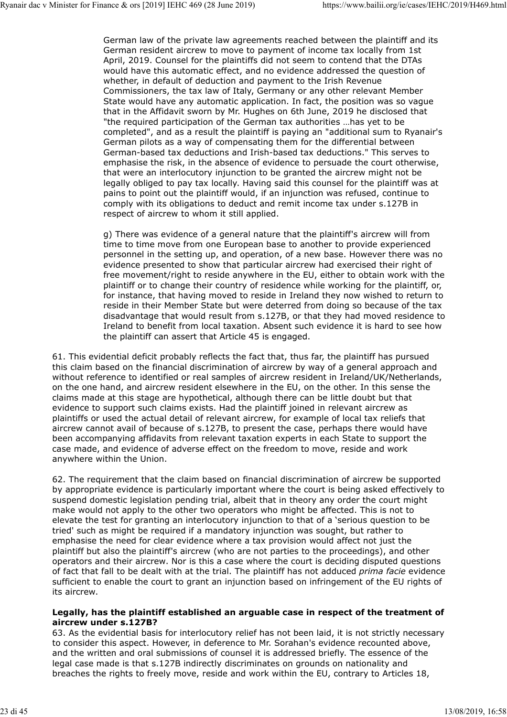German law of the private law agreements reached between the plaintiff and its German resident aircrew to move to payment of income tax locally from 1st April, 2019. Counsel for the plaintiffs did not seem to contend that the DTAs would have this automatic effect, and no evidence addressed the question of whether, in default of deduction and payment to the Irish Revenue Commissioners, the tax law of Italy, Germany or any other relevant Member State would have any automatic application. In fact, the position was so vague that in the Affidavit sworn by Mr. Hughes on 6th June, 2019 he disclosed that "the required participation of the German tax authorities …has yet to be completed", and as a result the plaintiff is paying an "additional sum to Ryanair's German pilots as a way of compensating them for the differential between German-based tax deductions and Irish-based tax deductions." This serves to emphasise the risk, in the absence of evidence to persuade the court otherwise, that were an interlocutory injunction to be granted the aircrew might not be legally obliged to pay tax locally. Having said this counsel for the plaintiff was at pains to point out the plaintiff would, if an injunction was refused, continue to comply with its obligations to deduct and remit income tax under s.127B in respect of aircrew to whom it still applied.

g) There was evidence of a general nature that the plaintiff's aircrew will from time to time move from one European base to another to provide experienced personnel in the setting up, and operation, of a new base. However there was no evidence presented to show that particular aircrew had exercised their right of free movement/right to reside anywhere in the EU, either to obtain work with the plaintiff or to change their country of residence while working for the plaintiff, or, for instance, that having moved to reside in Ireland they now wished to return to reside in their Member State but were deterred from doing so because of the tax disadvantage that would result from s.127B, or that they had moved residence to Ireland to benefit from local taxation. Absent such evidence it is hard to see how the plaintiff can assert that Article 45 is engaged.

61. This evidential deficit probably reflects the fact that, thus far, the plaintiff has pursued this claim based on the financial discrimination of aircrew by way of a general approach and without reference to identified or real samples of aircrew resident in Ireland/UK/Netherlands, on the one hand, and aircrew resident elsewhere in the EU, on the other. In this sense the claims made at this stage are hypothetical, although there can be little doubt but that evidence to support such claims exists. Had the plaintiff joined in relevant aircrew as plaintiffs or used the actual detail of relevant aircrew, for example of local tax reliefs that aircrew cannot avail of because of s.127B, to present the case, perhaps there would have been accompanying affidavits from relevant taxation experts in each State to support the case made, and evidence of adverse effect on the freedom to move, reside and work anywhere within the Union.

62. The requirement that the claim based on financial discrimination of aircrew be supported by appropriate evidence is particularly important where the court is being asked effectively to suspend domestic legislation pending trial, albeit that in theory any order the court might make would not apply to the other two operators who might be affected. This is not to elevate the test for granting an interlocutory injunction to that of a 'serious question to be tried' such as might be required if a mandatory injunction was sought, but rather to emphasise the need for clear evidence where a tax provision would affect not just the plaintiff but also the plaintiff's aircrew (who are not parties to the proceedings), and other operators and their aircrew. Nor is this a case where the court is deciding disputed questions of fact that fall to be dealt with at the trial. The plaintiff has not adduced *prima facie* evidence sufficient to enable the court to grant an injunction based on infringement of the EU rights of its aircrew.

#### Legally, has the plaintiff established an arguable case in respect of the treatment of aircrew under s.127B?

63. As the evidential basis for interlocutory relief has not been laid, it is not strictly necessary to consider this aspect. However, in deference to Mr. Sorahan's evidence recounted above, and the written and oral submissions of counsel it is addressed briefly. The essence of the legal case made is that s.127B indirectly discriminates on grounds on nationality and breaches the rights to freely move, reside and work within the EU, contrary to Articles 18,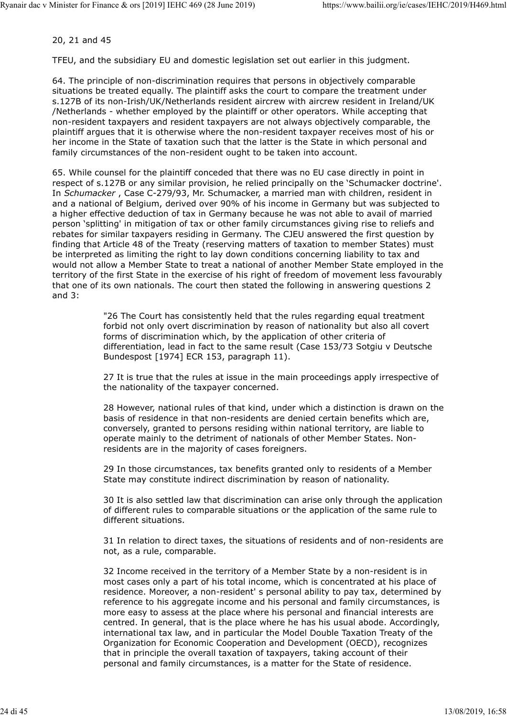#### 20, 21 and 45

TFEU, and the subsidiary EU and domestic legislation set out earlier in this judgment.

64. The principle of non-discrimination requires that persons in objectively comparable situations be treated equally. The plaintiff asks the court to compare the treatment under s.127B of its non-Irish/UK/Netherlands resident aircrew with aircrew resident in Ireland/UK /Netherlands - whether employed by the plaintiff or other operators. While accepting that non-resident taxpayers and resident taxpayers are not always objectively comparable, the plaintiff argues that it is otherwise where the non-resident taxpayer receives most of his or her income in the State of taxation such that the latter is the State in which personal and family circumstances of the non-resident ought to be taken into account.

65. While counsel for the plaintiff conceded that there was no EU case directly in point in respect of s.127B or any similar provision, he relied principally on the 'Schumacker doctrine'. In *Schumacker* , Case C-279/93, Mr. Schumacker, a married man with children, resident in and a national of Belgium, derived over 90% of his income in Germany but was subjected to a higher effective deduction of tax in Germany because he was not able to avail of married person 'splitting' in mitigation of tax or other family circumstances giving rise to reliefs and rebates for similar taxpayers residing in Germany. The CJEU answered the first question by finding that Article 48 of the Treaty (reserving matters of taxation to member States) must be interpreted as limiting the right to lay down conditions concerning liability to tax and would not allow a Member State to treat a national of another Member State employed in the territory of the first State in the exercise of his right of freedom of movement less favourably that one of its own nationals. The court then stated the following in answering questions 2 and 3:

> "26 The Court has consistently held that the rules regarding equal treatment forbid not only overt discrimination by reason of nationality but also all covert forms of discrimination which, by the application of other criteria of differentiation, lead in fact to the same result (Case 153/73 Sotgiu v Deutsche Bundespost [1974] ECR 153, paragraph 11).

27 It is true that the rules at issue in the main proceedings apply irrespective of the nationality of the taxpayer concerned.

28 However, national rules of that kind, under which a distinction is drawn on the basis of residence in that non-residents are denied certain benefits which are, conversely, granted to persons residing within national territory, are liable to operate mainly to the detriment of nationals of other Member States. Nonresidents are in the majority of cases foreigners.

29 In those circumstances, tax benefits granted only to residents of a Member State may constitute indirect discrimination by reason of nationality.

30 It is also settled law that discrimination can arise only through the application of different rules to comparable situations or the application of the same rule to different situations.

31 In relation to direct taxes, the situations of residents and of non-residents are not, as a rule, comparable.

32 Income received in the territory of a Member State by a non-resident is in most cases only a part of his total income, which is concentrated at his place of residence. Moreover, a non-resident' s personal ability to pay tax, determined by reference to his aggregate income and his personal and family circumstances, is more easy to assess at the place where his personal and financial interests are centred. In general, that is the place where he has his usual abode. Accordingly, international tax law, and in particular the Model Double Taxation Treaty of the Organization for Economic Cooperation and Development (OECD), recognizes that in principle the overall taxation of taxpayers, taking account of their personal and family circumstances, is a matter for the State of residence.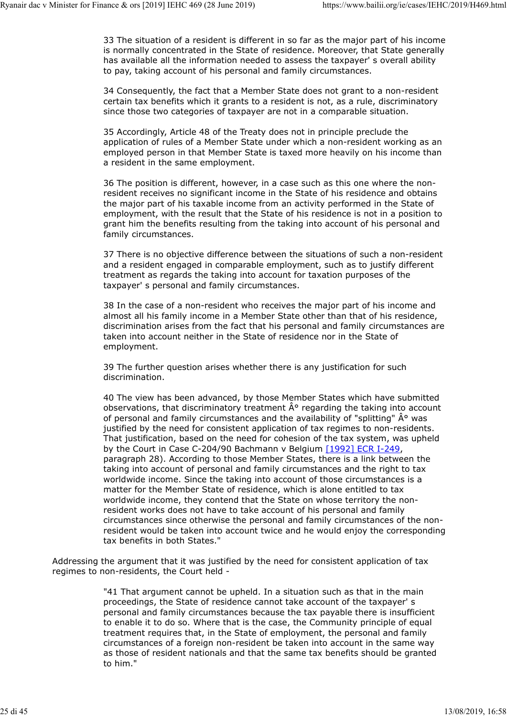33 The situation of a resident is different in so far as the major part of his income is normally concentrated in the State of residence. Moreover, that State generally has available all the information needed to assess the taxpayer' s overall ability to pay, taking account of his personal and family circumstances.

34 Consequently, the fact that a Member State does not grant to a non-resident certain tax benefits which it grants to a resident is not, as a rule, discriminatory since those two categories of taxpayer are not in a comparable situation.

35 Accordingly, Article 48 of the Treaty does not in principle preclude the application of rules of a Member State under which a non-resident working as an employed person in that Member State is taxed more heavily on his income than a resident in the same employment.

36 The position is different, however, in a case such as this one where the nonresident receives no significant income in the State of his residence and obtains the major part of his taxable income from an activity performed in the State of employment, with the result that the State of his residence is not in a position to grant him the benefits resulting from the taking into account of his personal and family circumstances.

37 There is no objective difference between the situations of such a non-resident and a resident engaged in comparable employment, such as to justify different treatment as regards the taking into account for taxation purposes of the taxpayer' s personal and family circumstances.

38 In the case of a non-resident who receives the major part of his income and almost all his family income in a Member State other than that of his residence, discrimination arises from the fact that his personal and family circumstances are taken into account neither in the State of residence nor in the State of employment.

39 The further question arises whether there is any justification for such discrimination.

40 The view has been advanced, by those Member States which have submitted observations, that discriminatory treatment  $\hat{A}^{\circ}$  regarding the taking into account of personal and family circumstances and the availability of "splitting"  $\hat{A}^{\circ}$  was justified by the need for consistent application of tax regimes to non-residents. That justification, based on the need for cohesion of the tax system, was upheld by the Court in Case C-204/90 Bachmann v Belgium [1992] ECR I-249, paragraph 28). According to those Member States, there is a link between the taking into account of personal and family circumstances and the right to tax worldwide income. Since the taking into account of those circumstances is a matter for the Member State of residence, which is alone entitled to tax worldwide income, they contend that the State on whose territory the nonresident works does not have to take account of his personal and family circumstances since otherwise the personal and family circumstances of the nonresident would be taken into account twice and he would enjoy the corresponding tax benefits in both States."

Addressing the argument that it was justified by the need for consistent application of tax regimes to non-residents, the Court held -

> "41 That argument cannot be upheld. In a situation such as that in the main proceedings, the State of residence cannot take account of the taxpayer' s personal and family circumstances because the tax payable there is insufficient to enable it to do so. Where that is the case, the Community principle of equal treatment requires that, in the State of employment, the personal and family circumstances of a foreign non-resident be taken into account in the same way as those of resident nationals and that the same tax benefits should be granted to him."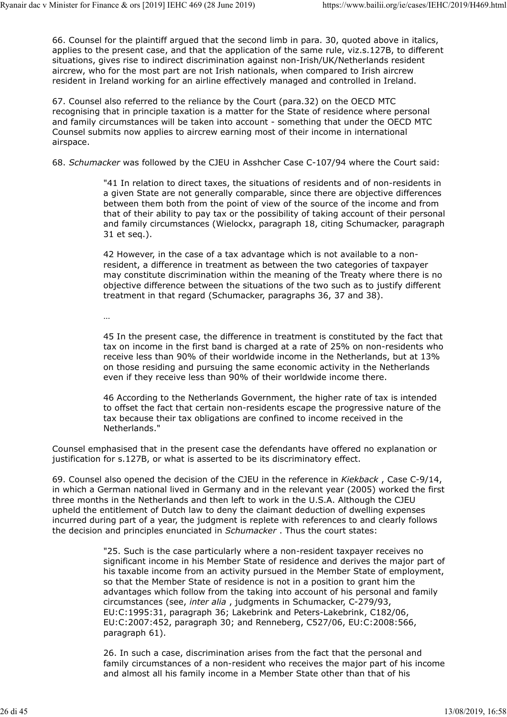66. Counsel for the plaintiff argued that the second limb in para. 30, quoted above in italics, applies to the present case, and that the application of the same rule, viz.s.127B, to different situations, gives rise to indirect discrimination against non-Irish/UK/Netherlands resident aircrew, who for the most part are not Irish nationals, when compared to Irish aircrew resident in Ireland working for an airline effectively managed and controlled in Ireland.

67. Counsel also referred to the reliance by the Court (para.32) on the OECD MTC recognising that in principle taxation is a matter for the State of residence where personal and family circumstances will be taken into account - something that under the OECD MTC Counsel submits now applies to aircrew earning most of their income in international airspace.

68. *Schumacker* was followed by the CJEU in Asshcher Case C-107/94 where the Court said:

"41 In relation to direct taxes, the situations of residents and of non-residents in a given State are not generally comparable, since there are objective differences between them both from the point of view of the source of the income and from that of their ability to pay tax or the possibility of taking account of their personal and family circumstances (Wielockx, paragraph 18, citing Schumacker, paragraph 31 et seq.).

42 However, in the case of a tax advantage which is not available to a nonresident, a difference in treatment as between the two categories of taxpayer may constitute discrimination within the meaning of the Treaty where there is no objective difference between the situations of the two such as to justify different treatment in that regard (Schumacker, paragraphs 36, 37 and 38).

…

45 In the present case, the difference in treatment is constituted by the fact that tax on income in the first band is charged at a rate of 25% on non-residents who receive less than 90% of their worldwide income in the Netherlands, but at 13% on those residing and pursuing the same economic activity in the Netherlands even if they receive less than 90% of their worldwide income there.

46 According to the Netherlands Government, the higher rate of tax is intended to offset the fact that certain non-residents escape the progressive nature of the tax because their tax obligations are confined to income received in the Netherlands."

Counsel emphasised that in the present case the defendants have offered no explanation or justification for s.127B, or what is asserted to be its discriminatory effect.

69. Counsel also opened the decision of the CJEU in the reference in *Kiekback* , Case C-9/14, in which a German national lived in Germany and in the relevant year (2005) worked the first three months in the Netherlands and then left to work in the U.S.A. Although the CJEU upheld the entitlement of Dutch law to deny the claimant deduction of dwelling expenses incurred during part of a year, the judgment is replete with references to and clearly follows the decision and principles enunciated in *Schumacker* . Thus the court states:

> "25. Such is the case particularly where a non-resident taxpayer receives no significant income in his Member State of residence and derives the major part of his taxable income from an activity pursued in the Member State of employment, so that the Member State of residence is not in a position to grant him the advantages which follow from the taking into account of his personal and family circumstances (see, *inter alia* , judgments in Schumacker, C-279/93, EU:C:1995:31, paragraph 36; Lakebrink and Peters-Lakebrink, C182/06, EU:C:2007:452, paragraph 30; and Renneberg, C527/06, EU:C:2008:566, paragraph 61).

> 26. In such a case, discrimination arises from the fact that the personal and family circumstances of a non-resident who receives the major part of his income and almost all his family income in a Member State other than that of his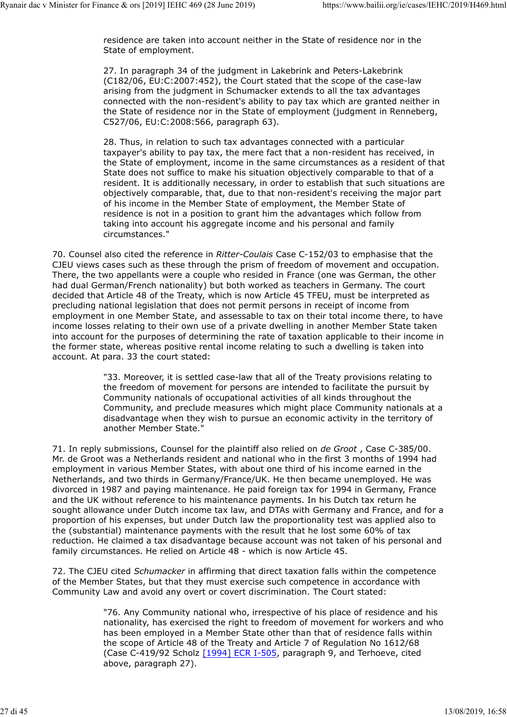residence are taken into account neither in the State of residence nor in the State of employment.

27. In paragraph 34 of the judgment in Lakebrink and Peters-Lakebrink (C182/06, EU:C:2007:452), the Court stated that the scope of the case-law arising from the judgment in Schumacker extends to all the tax advantages connected with the non-resident's ability to pay tax which are granted neither in the State of residence nor in the State of employment (judgment in Renneberg, C527/06, EU:C:2008:566, paragraph 63).

28. Thus, in relation to such tax advantages connected with a particular taxpayer's ability to pay tax, the mere fact that a non-resident has received, in the State of employment, income in the same circumstances as a resident of that State does not suffice to make his situation objectively comparable to that of a resident. It is additionally necessary, in order to establish that such situations are objectively comparable, that, due to that non-resident's receiving the major part of his income in the Member State of employment, the Member State of residence is not in a position to grant him the advantages which follow from taking into account his aggregate income and his personal and family circumstances."

70. Counsel also cited the reference in *Ritter-Coulais* Case C-152/03 to emphasise that the CJEU views cases such as these through the prism of freedom of movement and occupation. There, the two appellants were a couple who resided in France (one was German, the other had dual German/French nationality) but both worked as teachers in Germany. The court decided that Article 48 of the Treaty, which is now Article 45 TFEU, must be interpreted as precluding national legislation that does not permit persons in receipt of income from employment in one Member State, and assessable to tax on their total income there, to have income losses relating to their own use of a private dwelling in another Member State taken into account for the purposes of determining the rate of taxation applicable to their income in the former state, whereas positive rental income relating to such a dwelling is taken into account. At para. 33 the court stated:

> "33. Moreover, it is settled case-law that all of the Treaty provisions relating to the freedom of movement for persons are intended to facilitate the pursuit by Community nationals of occupational activities of all kinds throughout the Community, and preclude measures which might place Community nationals at a disadvantage when they wish to pursue an economic activity in the territory of another Member State."

71. In reply submissions, Counsel for the plaintiff also relied on *de Groot* , Case C-385/00. Mr. de Groot was a Netherlands resident and national who in the first 3 months of 1994 had employment in various Member States, with about one third of his income earned in the Netherlands, and two thirds in Germany/France/UK. He then became unemployed. He was divorced in 1987 and paying maintenance. He paid foreign tax for 1994 in Germany, France and the UK without reference to his maintenance payments. In his Dutch tax return he sought allowance under Dutch income tax law, and DTAs with Germany and France, and for a proportion of his expenses, but under Dutch law the proportionality test was applied also to the (substantial) maintenance payments with the result that he lost some 60% of tax reduction. He claimed a tax disadvantage because account was not taken of his personal and family circumstances. He relied on Article 48 - which is now Article 45.

72. The CJEU cited *Schumacker* in affirming that direct taxation falls within the competence of the Member States, but that they must exercise such competence in accordance with Community Law and avoid any overt or covert discrimination. The Court stated:

> "76. Any Community national who, irrespective of his place of residence and his nationality, has exercised the right to freedom of movement for workers and who has been employed in a Member State other than that of residence falls within the scope of Article 48 of the Treaty and Article 7 of Regulation No 1612/68 (Case C-419/92 Scholz [1994] ECR I-505, paragraph 9, and Terhoeve, cited above, paragraph 27).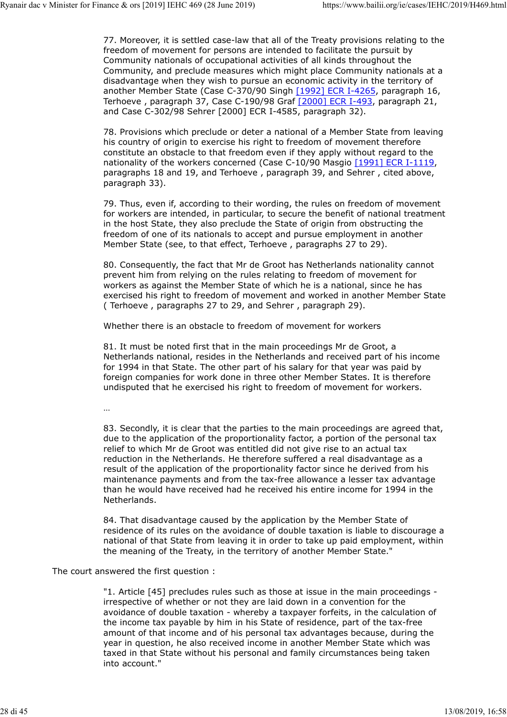77. Moreover, it is settled case-law that all of the Treaty provisions relating to the freedom of movement for persons are intended to facilitate the pursuit by Community nationals of occupational activities of all kinds throughout the Community, and preclude measures which might place Community nationals at a disadvantage when they wish to pursue an economic activity in the territory of another Member State (Case C-370/90 Singh [1992] ECR I-4265, paragraph 16, Terhoeve, paragraph 37, Case C-190/98 Graf [2000] ECR I-493, paragraph 21, and Case C-302/98 Sehrer [2000] ECR I-4585, paragraph 32).

78. Provisions which preclude or deter a national of a Member State from leaving his country of origin to exercise his right to freedom of movement therefore constitute an obstacle to that freedom even if they apply without regard to the nationality of the workers concerned (Case C-10/90 Masgio [1991] ECR I-1119, paragraphs 18 and 19, and Terhoeve , paragraph 39, and Sehrer , cited above, paragraph 33).

79. Thus, even if, according to their wording, the rules on freedom of movement for workers are intended, in particular, to secure the benefit of national treatment in the host State, they also preclude the State of origin from obstructing the freedom of one of its nationals to accept and pursue employment in another Member State (see, to that effect, Terhoeve , paragraphs 27 to 29).

80. Consequently, the fact that Mr de Groot has Netherlands nationality cannot prevent him from relying on the rules relating to freedom of movement for workers as against the Member State of which he is a national, since he has exercised his right to freedom of movement and worked in another Member State ( Terhoeve , paragraphs 27 to 29, and Sehrer , paragraph 29).

Whether there is an obstacle to freedom of movement for workers

81. It must be noted first that in the main proceedings Mr de Groot, a Netherlands national, resides in the Netherlands and received part of his income for 1994 in that State. The other part of his salary for that year was paid by foreign companies for work done in three other Member States. It is therefore undisputed that he exercised his right to freedom of movement for workers.

…

83. Secondly, it is clear that the parties to the main proceedings are agreed that, due to the application of the proportionality factor, a portion of the personal tax relief to which Mr de Groot was entitled did not give rise to an actual tax reduction in the Netherlands. He therefore suffered a real disadvantage as a result of the application of the proportionality factor since he derived from his maintenance payments and from the tax-free allowance a lesser tax advantage than he would have received had he received his entire income for 1994 in the Netherlands.

84. That disadvantage caused by the application by the Member State of residence of its rules on the avoidance of double taxation is liable to discourage a national of that State from leaving it in order to take up paid employment, within the meaning of the Treaty, in the territory of another Member State."

The court answered the first question :

"1. Article [45] precludes rules such as those at issue in the main proceedings irrespective of whether or not they are laid down in a convention for the avoidance of double taxation - whereby a taxpayer forfeits, in the calculation of the income tax payable by him in his State of residence, part of the tax-free amount of that income and of his personal tax advantages because, during the year in question, he also received income in another Member State which was taxed in that State without his personal and family circumstances being taken into account."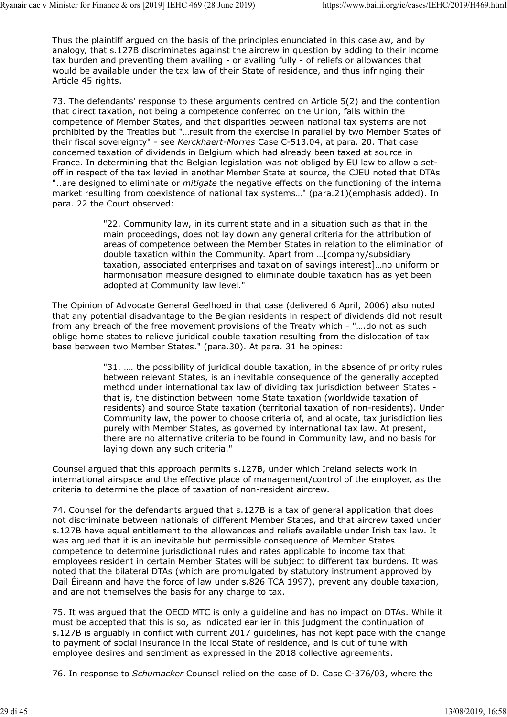Thus the plaintiff argued on the basis of the principles enunciated in this caselaw, and by analogy, that s.127B discriminates against the aircrew in question by adding to their income tax burden and preventing them availing - or availing fully - of reliefs or allowances that would be available under the tax law of their State of residence, and thus infringing their Article 45 rights.

73. The defendants' response to these arguments centred on Article 5(2) and the contention that direct taxation, not being a competence conferred on the Union, falls within the competence of Member States, and that disparities between national tax systems are not prohibited by the Treaties but "…result from the exercise in parallel by two Member States of their fiscal sovereignty" - see *Kerckhaert-Morres* Case C-513.04, at para. 20. That case concerned taxation of dividends in Belgium which had already been taxed at source in France. In determining that the Belgian legislation was not obliged by EU law to allow a setoff in respect of the tax levied in another Member State at source, the CJEU noted that DTAs "..are designed to eliminate or *mitigate* the negative effects on the functioning of the internal market resulting from coexistence of national tax systems…" (para.21)(emphasis added). In para. 22 the Court observed:

> "22. Community law, in its current state and in a situation such as that in the main proceedings, does not lay down any general criteria for the attribution of areas of competence between the Member States in relation to the elimination of double taxation within the Community. Apart from …[company/subsidiary taxation, associated enterprises and taxation of savings interest]…no uniform or harmonisation measure designed to eliminate double taxation has as yet been adopted at Community law level."

The Opinion of Advocate General Geelhoed in that case (delivered 6 April, 2006) also noted that any potential disadvantage to the Belgian residents in respect of dividends did not result from any breach of the free movement provisions of the Treaty which - "….do not as such oblige home states to relieve juridical double taxation resulting from the dislocation of tax base between two Member States." (para.30). At para. 31 he opines:

> "31. …. the possibility of juridical double taxation, in the absence of priority rules between relevant States, is an inevitable consequence of the generally accepted method under international tax law of dividing tax jurisdiction between States that is, the distinction between home State taxation (worldwide taxation of residents) and source State taxation (territorial taxation of non-residents). Under Community law, the power to choose criteria of, and allocate, tax jurisdiction lies purely with Member States, as governed by international tax law. At present, there are no alternative criteria to be found in Community law, and no basis for laying down any such criteria."

Counsel argued that this approach permits s.127B, under which Ireland selects work in international airspace and the effective place of management/control of the employer, as the criteria to determine the place of taxation of non-resident aircrew.

74. Counsel for the defendants argued that s.127B is a tax of general application that does not discriminate between nationals of different Member States, and that aircrew taxed under s.127B have equal entitlement to the allowances and reliefs available under Irish tax law. It was argued that it is an inevitable but permissible consequence of Member States competence to determine jurisdictional rules and rates applicable to income tax that employees resident in certain Member States will be subject to different tax burdens. It was noted that the bilateral DTAs (which are promulgated by statutory instrument approved by Dail Éireann and have the force of law under s.826 TCA 1997), prevent any double taxation, and are not themselves the basis for any charge to tax.

75. It was argued that the OECD MTC is only a guideline and has no impact on DTAs. While it must be accepted that this is so, as indicated earlier in this judgment the continuation of s.127B is arguably in conflict with current 2017 guidelines, has not kept pace with the change to payment of social insurance in the local State of residence, and is out of tune with employee desires and sentiment as expressed in the 2018 collective agreements.

76. In response to *Schumacker* Counsel relied on the case of D. Case C-376/03, where the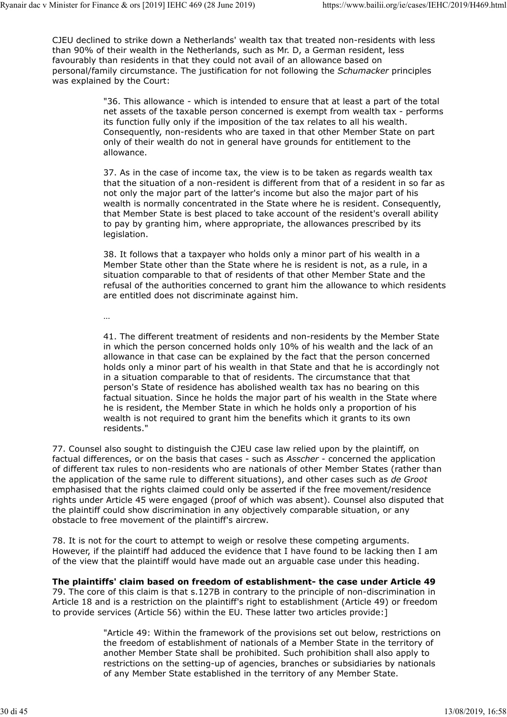CJEU declined to strike down a Netherlands' wealth tax that treated non-residents with less than 90% of their wealth in the Netherlands, such as Mr. D, a German resident, less favourably than residents in that they could not avail of an allowance based on personal/family circumstance. The justification for not following the *Schumacker* principles was explained by the Court:

> "36. This allowance - which is intended to ensure that at least a part of the total net assets of the taxable person concerned is exempt from wealth tax - performs its function fully only if the imposition of the tax relates to all his wealth. Consequently, non-residents who are taxed in that other Member State on part only of their wealth do not in general have grounds for entitlement to the allowance.

> 37. As in the case of income tax, the view is to be taken as regards wealth tax that the situation of a non-resident is different from that of a resident in so far as not only the major part of the latter's income but also the major part of his wealth is normally concentrated in the State where he is resident. Consequently, that Member State is best placed to take account of the resident's overall ability to pay by granting him, where appropriate, the allowances prescribed by its legislation.

> 38. It follows that a taxpayer who holds only a minor part of his wealth in a Member State other than the State where he is resident is not, as a rule, in a situation comparable to that of residents of that other Member State and the refusal of the authorities concerned to grant him the allowance to which residents are entitled does not discriminate against him.

…

41. The different treatment of residents and non-residents by the Member State in which the person concerned holds only 10% of his wealth and the lack of an allowance in that case can be explained by the fact that the person concerned holds only a minor part of his wealth in that State and that he is accordingly not in a situation comparable to that of residents. The circumstance that that person's State of residence has abolished wealth tax has no bearing on this factual situation. Since he holds the major part of his wealth in the State where he is resident, the Member State in which he holds only a proportion of his wealth is not required to grant him the benefits which it grants to its own residents."

77. Counsel also sought to distinguish the CJEU case law relied upon by the plaintiff, on factual differences, or on the basis that cases - such as *Asscher* - concerned the application of different tax rules to non-residents who are nationals of other Member States (rather than the application of the same rule to different situations), and other cases such as *de Groot* emphasised that the rights claimed could only be asserted if the free movement/residence rights under Article 45 were engaged (proof of which was absent). Counsel also disputed that the plaintiff could show discrimination in any objectively comparable situation, or any obstacle to free movement of the plaintiff's aircrew.

78. It is not for the court to attempt to weigh or resolve these competing arguments. However, if the plaintiff had adduced the evidence that I have found to be lacking then I am of the view that the plaintiff would have made out an arguable case under this heading.

The plaintiffs' claim based on freedom of establishment- the case under Article 49 79. The core of this claim is that s.127B in contrary to the principle of non-discrimination in Article 18 and is a restriction on the plaintiff's right to establishment (Article 49) or freedom to provide services (Article 56) within the EU. These latter two articles provide:]

> "Article 49: Within the framework of the provisions set out below, restrictions on the freedom of establishment of nationals of a Member State in the territory of another Member State shall be prohibited. Such prohibition shall also apply to restrictions on the setting-up of agencies, branches or subsidiaries by nationals of any Member State established in the territory of any Member State.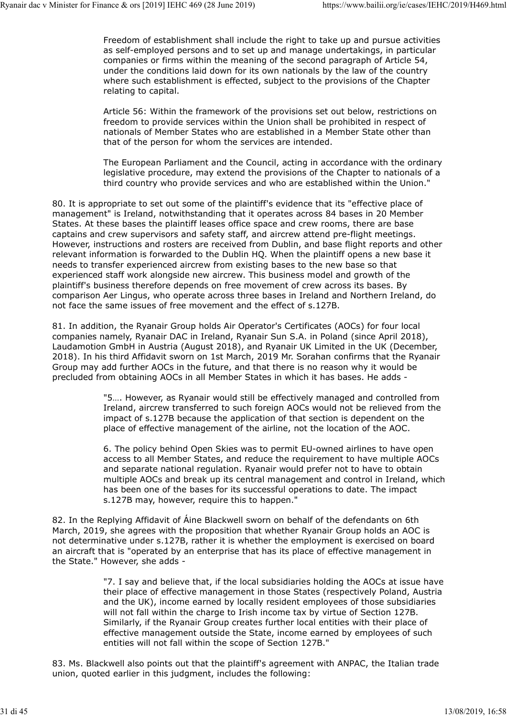Freedom of establishment shall include the right to take up and pursue activities as self-employed persons and to set up and manage undertakings, in particular companies or firms within the meaning of the second paragraph of Article 54, under the conditions laid down for its own nationals by the law of the country where such establishment is effected, subject to the provisions of the Chapter relating to capital.

Article 56: Within the framework of the provisions set out below, restrictions on freedom to provide services within the Union shall be prohibited in respect of nationals of Member States who are established in a Member State other than that of the person for whom the services are intended.

The European Parliament and the Council, acting in accordance with the ordinary legislative procedure, may extend the provisions of the Chapter to nationals of a third country who provide services and who are established within the Union."

80. It is appropriate to set out some of the plaintiff's evidence that its "effective place of management" is Ireland, notwithstanding that it operates across 84 bases in 20 Member States. At these bases the plaintiff leases office space and crew rooms, there are base captains and crew supervisors and safety staff, and aircrew attend pre-flight meetings. However, instructions and rosters are received from Dublin, and base flight reports and other relevant information is forwarded to the Dublin HQ. When the plaintiff opens a new base it needs to transfer experienced aircrew from existing bases to the new base so that experienced staff work alongside new aircrew. This business model and growth of the plaintiff's business therefore depends on free movement of crew across its bases. By comparison Aer Lingus, who operate across three bases in Ireland and Northern Ireland, do not face the same issues of free movement and the effect of s.127B.

81. In addition, the Ryanair Group holds Air Operator's Certificates (AOCs) for four local companies namely, Ryanair DAC in Ireland, Ryanair Sun S.A. in Poland (since April 2018), Laudamotion GmbH in Austria (August 2018), and Ryanair UK Limited in the UK (December, 2018). In his third Affidavit sworn on 1st March, 2019 Mr. Sorahan confirms that the Ryanair Group may add further AOCs in the future, and that there is no reason why it would be precluded from obtaining AOCs in all Member States in which it has bases. He adds -

> "5…. However, as Ryanair would still be effectively managed and controlled from Ireland, aircrew transferred to such foreign AOCs would not be relieved from the impact of s.127B because the application of that section is dependent on the place of effective management of the airline, not the location of the AOC.

> 6. The policy behind Open Skies was to permit EU-owned airlines to have open access to all Member States, and reduce the requirement to have multiple AOCs and separate national regulation. Ryanair would prefer not to have to obtain multiple AOCs and break up its central management and control in Ireland, which has been one of the bases for its successful operations to date. The impact s.127B may, however, require this to happen."

82. In the Replying Affidavit of Áine Blackwell sworn on behalf of the defendants on 6th March, 2019, she agrees with the proposition that whether Ryanair Group holds an AOC is not determinative under s.127B, rather it is whether the employment is exercised on board an aircraft that is "operated by an enterprise that has its place of effective management in the State." However, she adds -

> "7. I say and believe that, if the local subsidiaries holding the AOCs at issue have their place of effective management in those States (respectively Poland, Austria and the UK), income earned by locally resident employees of those subsidiaries will not fall within the charge to Irish income tax by virtue of Section 127B. Similarly, if the Ryanair Group creates further local entities with their place of effective management outside the State, income earned by employees of such entities will not fall within the scope of Section 127B."

83. Ms. Blackwell also points out that the plaintiff's agreement with ANPAC, the Italian trade union, quoted earlier in this judgment, includes the following: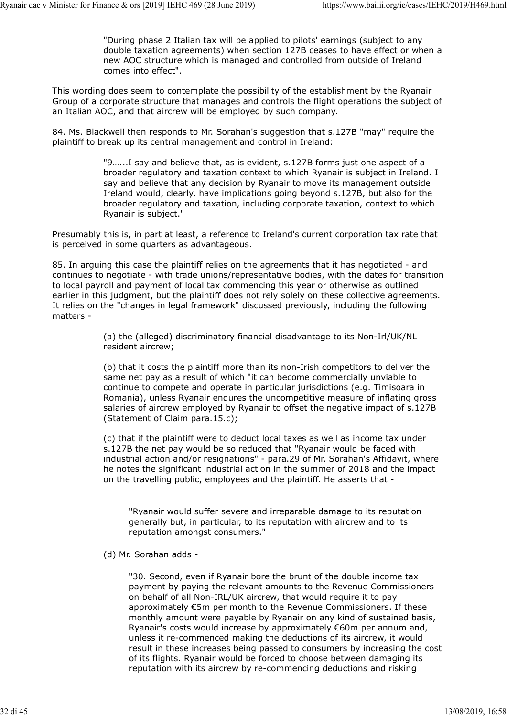"During phase 2 Italian tax will be applied to pilots' earnings (subject to any double taxation agreements) when section 127B ceases to have effect or when a new AOC structure which is managed and controlled from outside of Ireland comes into effect".

This wording does seem to contemplate the possibility of the establishment by the Ryanair Group of a corporate structure that manages and controls the flight operations the subject of an Italian AOC, and that aircrew will be employed by such company.

84. Ms. Blackwell then responds to Mr. Sorahan's suggestion that s.127B "may" require the plaintiff to break up its central management and control in Ireland:

> "9…...I say and believe that, as is evident, s.127B forms just one aspect of a broader regulatory and taxation context to which Ryanair is subject in Ireland. I say and believe that any decision by Ryanair to move its management outside Ireland would, clearly, have implications going beyond s.127B, but also for the broader regulatory and taxation, including corporate taxation, context to which Ryanair is subject."

Presumably this is, in part at least, a reference to Ireland's current corporation tax rate that is perceived in some quarters as advantageous.

85. In arguing this case the plaintiff relies on the agreements that it has negotiated - and continues to negotiate - with trade unions/representative bodies, with the dates for transition to local payroll and payment of local tax commencing this year or otherwise as outlined earlier in this judgment, but the plaintiff does not rely solely on these collective agreements. It relies on the "changes in legal framework" discussed previously, including the following matters -

> (a) the (alleged) discriminatory financial disadvantage to its Non-Irl/UK/NL resident aircrew;

(b) that it costs the plaintiff more than its non-Irish competitors to deliver the same net pay as a result of which "it can become commercially unviable to continue to compete and operate in particular jurisdictions (e.g. Timisoara in Romania), unless Ryanair endures the uncompetitive measure of inflating gross salaries of aircrew employed by Ryanair to offset the negative impact of s.127B (Statement of Claim para.15.c);

(c) that if the plaintiff were to deduct local taxes as well as income tax under s.127B the net pay would be so reduced that "Ryanair would be faced with industrial action and/or resignations" - para.29 of Mr. Sorahan's Affidavit, where he notes the significant industrial action in the summer of 2018 and the impact on the travelling public, employees and the plaintiff. He asserts that -

"Ryanair would suffer severe and irreparable damage to its reputation generally but, in particular, to its reputation with aircrew and to its reputation amongst consumers."

(d) Mr. Sorahan adds -

"30. Second, even if Ryanair bore the brunt of the double income tax payment by paying the relevant amounts to the Revenue Commissioners on behalf of all Non-IRL/UK aircrew, that would require it to pay approximately €5m per month to the Revenue Commissioners. If these monthly amount were payable by Ryanair on any kind of sustained basis, Ryanair's costs would increase by approximately €60m per annum and, unless it re-commenced making the deductions of its aircrew, it would result in these increases being passed to consumers by increasing the cost of its flights. Ryanair would be forced to choose between damaging its reputation with its aircrew by re-commencing deductions and risking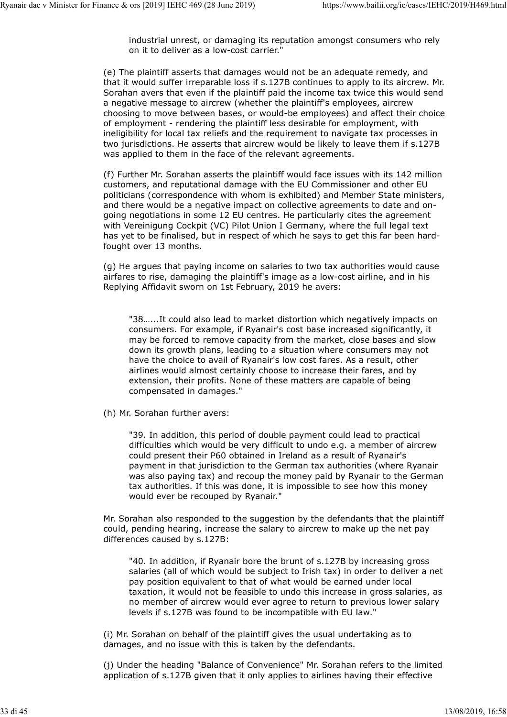industrial unrest, or damaging its reputation amongst consumers who rely on it to deliver as a low-cost carrier."

(e) The plaintiff asserts that damages would not be an adequate remedy, and that it would suffer irreparable loss if s.127B continues to apply to its aircrew. Mr. Sorahan avers that even if the plaintiff paid the income tax twice this would send a negative message to aircrew (whether the plaintiff's employees, aircrew choosing to move between bases, or would-be employees) and affect their choice of employment - rendering the plaintiff less desirable for employment, with ineligibility for local tax reliefs and the requirement to navigate tax processes in two jurisdictions. He asserts that aircrew would be likely to leave them if s.127B was applied to them in the face of the relevant agreements.

(f) Further Mr. Sorahan asserts the plaintiff would face issues with its 142 million customers, and reputational damage with the EU Commissioner and other EU politicians (correspondence with whom is exhibited) and Member State ministers, and there would be a negative impact on collective agreements to date and ongoing negotiations in some 12 EU centres. He particularly cites the agreement with Vereinigung Cockpit (VC) Pilot Union I Germany, where the full legal text has yet to be finalised, but in respect of which he says to get this far been hardfought over 13 months.

(g) He argues that paying income on salaries to two tax authorities would cause airfares to rise, damaging the plaintiff's image as a low-cost airline, and in his Replying Affidavit sworn on 1st February, 2019 he avers:

"38…...It could also lead to market distortion which negatively impacts on consumers. For example, if Ryanair's cost base increased significantly, it may be forced to remove capacity from the market, close bases and slow down its growth plans, leading to a situation where consumers may not have the choice to avail of Ryanair's low cost fares. As a result, other airlines would almost certainly choose to increase their fares, and by extension, their profits. None of these matters are capable of being compensated in damages."

(h) Mr. Sorahan further avers:

"39. In addition, this period of double payment could lead to practical difficulties which would be very difficult to undo e.g. a member of aircrew could present their P60 obtained in Ireland as a result of Ryanair's payment in that jurisdiction to the German tax authorities (where Ryanair was also paying tax) and recoup the money paid by Ryanair to the German tax authorities. If this was done, it is impossible to see how this money would ever be recouped by Ryanair."

Mr. Sorahan also responded to the suggestion by the defendants that the plaintiff could, pending hearing, increase the salary to aircrew to make up the net pay differences caused by s.127B:

"40. In addition, if Ryanair bore the brunt of s.127B by increasing gross salaries (all of which would be subject to Irish tax) in order to deliver a net pay position equivalent to that of what would be earned under local taxation, it would not be feasible to undo this increase in gross salaries, as no member of aircrew would ever agree to return to previous lower salary levels if s.127B was found to be incompatible with EU law."

(i) Mr. Sorahan on behalf of the plaintiff gives the usual undertaking as to damages, and no issue with this is taken by the defendants.

(j) Under the heading "Balance of Convenience" Mr. Sorahan refers to the limited application of s.127B given that it only applies to airlines having their effective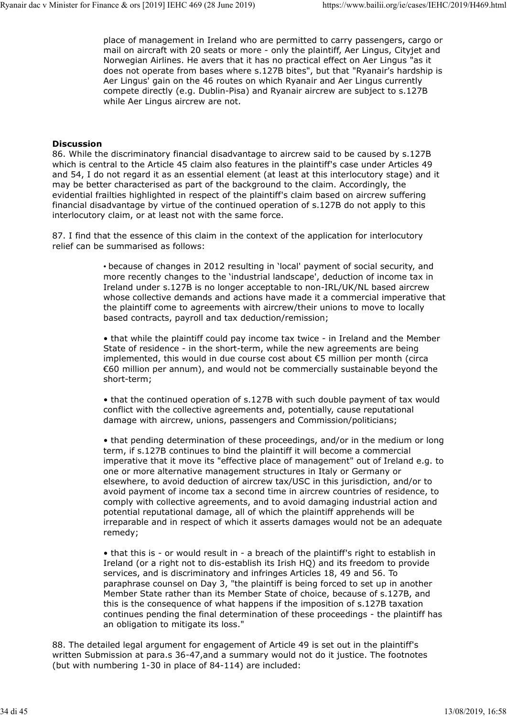place of management in Ireland who are permitted to carry passengers, cargo or mail on aircraft with 20 seats or more - only the plaintiff, Aer Lingus, Cityjet and Norwegian Airlines. He avers that it has no practical effect on Aer Lingus "as it does not operate from bases where s.127B bites", but that "Ryanair's hardship is Aer Lingus' gain on the 46 routes on which Ryanair and Aer Lingus currently compete directly (e.g. Dublin-Pisa) and Ryanair aircrew are subject to s.127B while Aer Lingus aircrew are not.

#### **Discussion**

86. While the discriminatory financial disadvantage to aircrew said to be caused by s.127B which is central to the Article 45 claim also features in the plaintiff's case under Articles 49 and 54, I do not regard it as an essential element (at least at this interlocutory stage) and it may be better characterised as part of the background to the claim. Accordingly, the evidential frailties highlighted in respect of the plaintiff's claim based on aircrew suffering financial disadvantage by virtue of the continued operation of s.127B do not apply to this interlocutory claim, or at least not with the same force.

87. I find that the essence of this claim in the context of the application for interlocutory relief can be summarised as follows:

> • because of changes in 2012 resulting in 'local' payment of social security, and more recently changes to the 'industrial landscape', deduction of income tax in Ireland under s.127B is no longer acceptable to non-IRL/UK/NL based aircrew whose collective demands and actions have made it a commercial imperative that the plaintiff come to agreements with aircrew/their unions to move to locally based contracts, payroll and tax deduction/remission;

• that while the plaintiff could pay income tax twice - in Ireland and the Member State of residence - in the short-term, while the new agreements are being implemented, this would in due course cost about €5 million per month (circa €60 million per annum), and would not be commercially sustainable beyond the short-term;

• that the continued operation of s.127B with such double payment of tax would conflict with the collective agreements and, potentially, cause reputational damage with aircrew, unions, passengers and Commission/politicians;

• that pending determination of these proceedings, and/or in the medium or long term, if s.127B continues to bind the plaintiff it will become a commercial imperative that it move its "effective place of management" out of Ireland e.g. to one or more alternative management structures in Italy or Germany or elsewhere, to avoid deduction of aircrew tax/USC in this jurisdiction, and/or to avoid payment of income tax a second time in aircrew countries of residence, to comply with collective agreements, and to avoid damaging industrial action and potential reputational damage, all of which the plaintiff apprehends will be irreparable and in respect of which it asserts damages would not be an adequate remedy;

• that this is - or would result in - a breach of the plaintiff's right to establish in Ireland (or a right not to dis-establish its Irish HQ) and its freedom to provide services, and is discriminatory and infringes Articles 18, 49 and 56. To paraphrase counsel on Day 3, "the plaintiff is being forced to set up in another Member State rather than its Member State of choice, because of s.127B, and this is the consequence of what happens if the imposition of s.127B taxation continues pending the final determination of these proceedings - the plaintiff has an obligation to mitigate its loss."

88. The detailed legal argument for engagement of Article 49 is set out in the plaintiff's written Submission at para.s 36-47,and a summary would not do it justice. The footnotes (but with numbering 1-30 in place of 84-114) are included: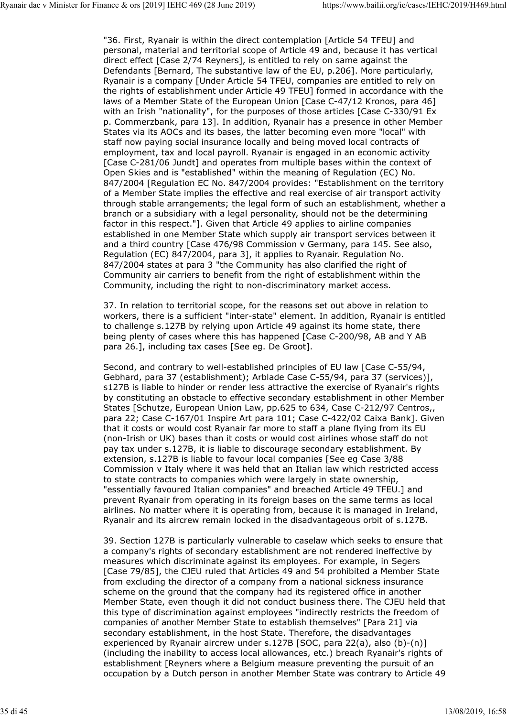"36. First, Ryanair is within the direct contemplation [Article 54 TFEU] and personal, material and territorial scope of Article 49 and, because it has vertical direct effect [Case 2/74 Reyners], is entitled to rely on same against the Defendants [Bernard, The substantive law of the EU, p.206]. More particularly, Ryanair is a company [Under Article 54 TFEU, companies are entitled to rely on the rights of establishment under Article 49 TFEU] formed in accordance with the laws of a Member State of the European Union [Case C-47/12 Kronos, para 46] with an Irish "nationality", for the purposes of those articles [Case C-330/91 Ex p. Commerzbank, para 13]. In addition, Ryanair has a presence in other Member States via its AOCs and its bases, the latter becoming even more "local" with staff now paying social insurance locally and being moved local contracts of employment, tax and local payroll. Ryanair is engaged in an economic activity [Case C-281/06 Jundt] and operates from multiple bases within the context of Open Skies and is "established" within the meaning of Regulation (EC) No. 847/2004 [Regulation EC No. 847/2004 provides: "Establishment on the territory of a Member State implies the effective and real exercise of air transport activity through stable arrangements; the legal form of such an establishment, whether a branch or a subsidiary with a legal personality, should not be the determining factor in this respect."]. Given that Article 49 applies to airline companies established in one Member State which supply air transport services between it and a third country [Case 476/98 Commission v Germany, para 145. See also, Regulation (EC) 847/2004, para 3], it applies to Ryanair. Regulation No. 847/2004 states at para 3 "the Community has also clarified the right of Community air carriers to benefit from the right of establishment within the Community, including the right to non-discriminatory market access.

37. In relation to territorial scope, for the reasons set out above in relation to workers, there is a sufficient "inter-state" element. In addition, Ryanair is entitled to challenge s.127B by relying upon Article 49 against its home state, there being plenty of cases where this has happened [Case C-200/98, AB and Y AB para 26.], including tax cases [See eg. De Groot].

Second, and contrary to well-established principles of EU law [Case C-55/94, Gebhard, para 37 (establishment); Arblade Case C-55/94, para 37 (services)], s127B is liable to hinder or render less attractive the exercise of Ryanair's rights by constituting an obstacle to effective secondary establishment in other Member States [Schutze, European Union Law, pp.625 to 634, Case C-212/97 Centros,, para 22; Case C-167/01 Inspire Art para 101; Case C-422/02 Caixa Bank]. Given that it costs or would cost Ryanair far more to staff a plane flying from its EU (non-Irish or UK) bases than it costs or would cost airlines whose staff do not pay tax under s.127B, it is liable to discourage secondary establishment. By extension, s.127B is liable to favour local companies [See eg Case 3/88 Commission v Italy where it was held that an Italian law which restricted access to state contracts to companies which were largely in state ownership, "essentially favoured Italian companies" and breached Article 49 TFEU.] and prevent Ryanair from operating in its foreign bases on the same terms as local airlines. No matter where it is operating from, because it is managed in Ireland, Ryanair and its aircrew remain locked in the disadvantageous orbit of s.127B.

39. Section 127B is particularly vulnerable to caselaw which seeks to ensure that a company's rights of secondary establishment are not rendered ineffective by measures which discriminate against its employees. For example, in Segers [Case 79/85], the CJEU ruled that Articles 49 and 54 prohibited a Member State from excluding the director of a company from a national sickness insurance scheme on the ground that the company had its registered office in another Member State, even though it did not conduct business there. The CJEU held that this type of discrimination against employees "indirectly restricts the freedom of companies of another Member State to establish themselves" [Para 21] via secondary establishment, in the host State. Therefore, the disadvantages experienced by Ryanair aircrew under s.127B [SOC, para 22(a), also (b)-(n)] (including the inability to access local allowances, etc.) breach Ryanair's rights of establishment [Reyners where a Belgium measure preventing the pursuit of an occupation by a Dutch person in another Member State was contrary to Article 49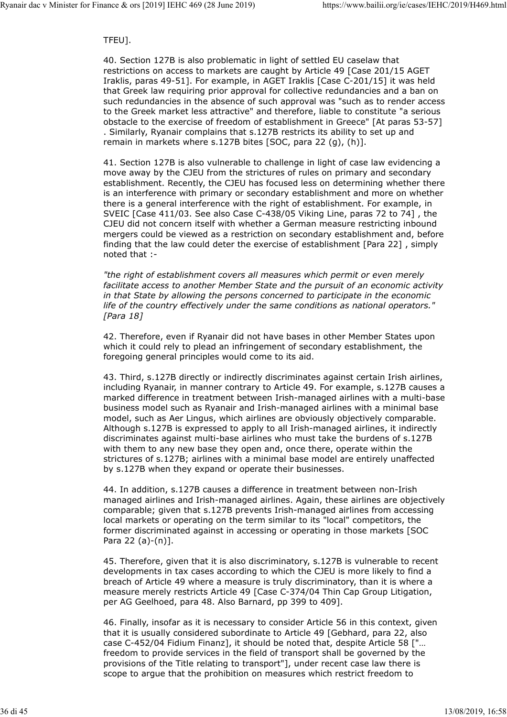#### TFEU].

40. Section 127B is also problematic in light of settled EU caselaw that restrictions on access to markets are caught by Article 49 [Case 201/15 AGET Iraklis, paras 49-51]. For example, in AGET Iraklis [Case C-201/15] it was held that Greek law requiring prior approval for collective redundancies and a ban on such redundancies in the absence of such approval was "such as to render access to the Greek market less attractive" and therefore, liable to constitute "a serious obstacle to the exercise of freedom of establishment in Greece" [At paras 53-57] . Similarly, Ryanair complains that s.127B restricts its ability to set up and remain in markets where s.127B bites [SOC, para 22 (g), (h)].

41. Section 127B is also vulnerable to challenge in light of case law evidencing a move away by the CJEU from the strictures of rules on primary and secondary establishment. Recently, the CJEU has focused less on determining whether there is an interference with primary or secondary establishment and more on whether there is a general interference with the right of establishment. For example, in SVEIC [Case 411/03. See also Case C-438/05 Viking Line, paras 72 to 74] , the CJEU did not concern itself with whether a German measure restricting inbound mergers could be viewed as a restriction on secondary establishment and, before finding that the law could deter the exercise of establishment [Para 22] , simply noted that :-

*"the right of establishment covers all measures which permit or even merely facilitate access to another Member State and the pursuit of an economic activity in that State by allowing the persons concerned to participate in the economic life of the country effectively under the same conditions as national operators." [Para 18]*

42. Therefore, even if Ryanair did not have bases in other Member States upon which it could rely to plead an infringement of secondary establishment, the foregoing general principles would come to its aid.

43. Third, s.127B directly or indirectly discriminates against certain Irish airlines, including Ryanair, in manner contrary to Article 49. For example, s.127B causes a marked difference in treatment between Irish-managed airlines with a multi-base business model such as Ryanair and Irish-managed airlines with a minimal base model, such as Aer Lingus, which airlines are obviously objectively comparable. Although s.127B is expressed to apply to all Irish-managed airlines, it indirectly discriminates against multi-base airlines who must take the burdens of s.127B with them to any new base they open and, once there, operate within the strictures of s.127B; airlines with a minimal base model are entirely unaffected by s.127B when they expand or operate their businesses.

44. In addition, s.127B causes a difference in treatment between non-Irish managed airlines and Irish-managed airlines. Again, these airlines are objectively comparable; given that s.127B prevents Irish-managed airlines from accessing local markets or operating on the term similar to its "local" competitors, the former discriminated against in accessing or operating in those markets [SOC Para 22 (a)-(n)].

45. Therefore, given that it is also discriminatory, s.127B is vulnerable to recent developments in tax cases according to which the CJEU is more likely to find a breach of Article 49 where a measure is truly discriminatory, than it is where a measure merely restricts Article 49 [Case C-374/04 Thin Cap Group Litigation, per AG Geelhoed, para 48. Also Barnard, pp 399 to 409].

46. Finally, insofar as it is necessary to consider Article 56 in this context, given that it is usually considered subordinate to Article 49 [Gebhard, para 22, also case C-452/04 Fidium Finanz], it should be noted that, despite Article 58 ["… freedom to provide services in the field of transport shall be governed by the provisions of the Title relating to transport"], under recent case law there is scope to argue that the prohibition on measures which restrict freedom to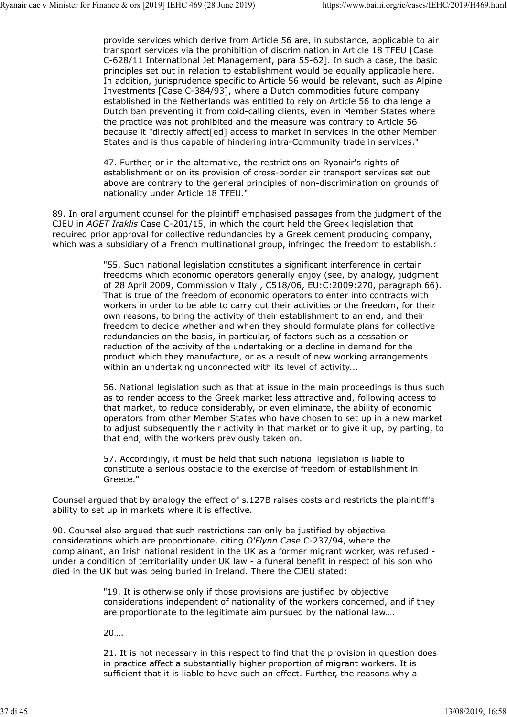provide services which derive from Article 56 are, in substance, applicable to air transport services via the prohibition of discrimination in Article 18 TFEU [Case C-628/11 International Jet Management, para 55-62]. In such a case, the basic principles set out in relation to establishment would be equally applicable here. In addition, jurisprudence specific to Article 56 would be relevant, such as Alpine Investments [Case C-384/93], where a Dutch commodities future company established in the Netherlands was entitled to rely on Article 56 to challenge a Dutch ban preventing it from cold-calling clients, even in Member States where the practice was not prohibited and the measure was contrary to Article 56 because it "directly affect[ed] access to market in services in the other Member States and is thus capable of hindering intra-Community trade in services."

47. Further, or in the alternative, the restrictions on Ryanair's rights of establishment or on its provision of cross-border air transport services set out above are contrary to the general principles of non-discrimination on grounds of nationality under Article 18 TFEU."

89. In oral argument counsel for the plaintiff emphasised passages from the judgment of the CJEU in *AGET Iraklis* Case C-201/15, in which the court held the Greek legislation that required prior approval for collective redundancies by a Greek cement producing company, which was a subsidiary of a French multinational group, infringed the freedom to establish.:

> "55. Such national legislation constitutes a significant interference in certain freedoms which economic operators generally enjoy (see, by analogy, judgment of 28 April 2009, Commission v Italy , C518/06, EU:C:2009:270, paragraph 66). That is true of the freedom of economic operators to enter into contracts with workers in order to be able to carry out their activities or the freedom, for their own reasons, to bring the activity of their establishment to an end, and their freedom to decide whether and when they should formulate plans for collective redundancies on the basis, in particular, of factors such as a cessation or reduction of the activity of the undertaking or a decline in demand for the product which they manufacture, or as a result of new working arrangements within an undertaking unconnected with its level of activity...

56. National legislation such as that at issue in the main proceedings is thus such as to render access to the Greek market less attractive and, following access to that market, to reduce considerably, or even eliminate, the ability of economic operators from other Member States who have chosen to set up in a new market to adjust subsequently their activity in that market or to give it up, by parting, to that end, with the workers previously taken on.

57. Accordingly, it must be held that such national legislation is liable to constitute a serious obstacle to the exercise of freedom of establishment in Greece."

Counsel argued that by analogy the effect of s.127B raises costs and restricts the plaintiff's ability to set up in markets where it is effective.

90. Counsel also argued that such restrictions can only be justified by objective considerations which are proportionate, citing *O'Flynn Case* C-237/94, where the complainant, an Irish national resident in the UK as a former migrant worker, was refused under a condition of territoriality under UK law - a funeral benefit in respect of his son who died in the UK but was being buried in Ireland. There the CJEU stated:

> "19. It is otherwise only if those provisions are justified by objective considerations independent of nationality of the workers concerned, and if they are proportionate to the legitimate aim pursued by the national law….

20….

21. It is not necessary in this respect to find that the provision in question does in practice affect a substantially higher proportion of migrant workers. It is sufficient that it is liable to have such an effect. Further, the reasons why a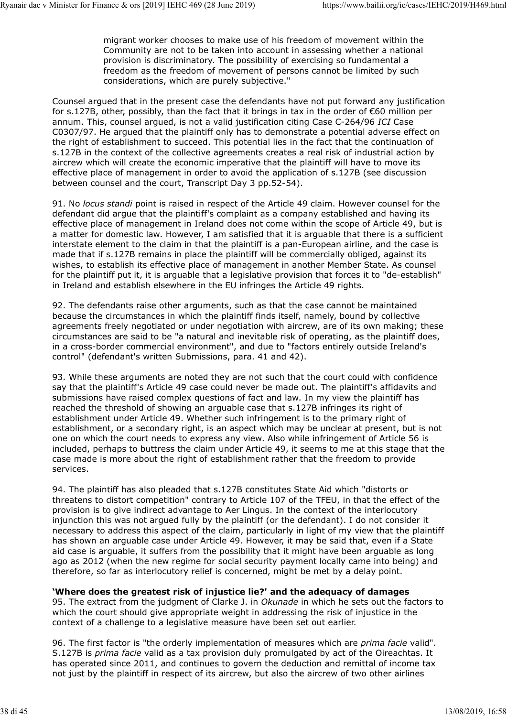migrant worker chooses to make use of his freedom of movement within the Community are not to be taken into account in assessing whether a national provision is discriminatory. The possibility of exercising so fundamental a freedom as the freedom of movement of persons cannot be limited by such considerations, which are purely subjective."

Counsel argued that in the present case the defendants have not put forward any justification for s.127B, other, possibly, than the fact that it brings in tax in the order of €60 million per annum. This, counsel argued, is not a valid justification citing Case C-264/96 *ICI* Case C0307/97. He argued that the plaintiff only has to demonstrate a potential adverse effect on the right of establishment to succeed. This potential lies in the fact that the continuation of s.127B in the context of the collective agreements creates a real risk of industrial action by aircrew which will create the economic imperative that the plaintiff will have to move its effective place of management in order to avoid the application of s.127B (see discussion between counsel and the court, Transcript Day 3 pp.52-54).

91. No *locus standi* point is raised in respect of the Article 49 claim. However counsel for the defendant did argue that the plaintiff's complaint as a company established and having its effective place of management in Ireland does not come within the scope of Article 49, but is a matter for domestic law. However, I am satisfied that it is arguable that there is a sufficient interstate element to the claim in that the plaintiff is a pan-European airline, and the case is made that if s.127B remains in place the plaintiff will be commercially obliged, against its wishes, to establish its effective place of management in another Member State. As counsel for the plaintiff put it, it is arguable that a legislative provision that forces it to "de-establish" in Ireland and establish elsewhere in the EU infringes the Article 49 rights.

92. The defendants raise other arguments, such as that the case cannot be maintained because the circumstances in which the plaintiff finds itself, namely, bound by collective agreements freely negotiated or under negotiation with aircrew, are of its own making; these circumstances are said to be "a natural and inevitable risk of operating, as the plaintiff does, in a cross-border commercial environment", and due to "factors entirely outside Ireland's control" (defendant's written Submissions, para. 41 and 42).

93. While these arguments are noted they are not such that the court could with confidence say that the plaintiff's Article 49 case could never be made out. The plaintiff's affidavits and submissions have raised complex questions of fact and law. In my view the plaintiff has reached the threshold of showing an arguable case that s.127B infringes its right of establishment under Article 49. Whether such infringement is to the primary right of establishment, or a secondary right, is an aspect which may be unclear at present, but is not one on which the court needs to express any view. Also while infringement of Article 56 is included, perhaps to buttress the claim under Article 49, it seems to me at this stage that the case made is more about the right of establishment rather that the freedom to provide services.

94. The plaintiff has also pleaded that s.127B constitutes State Aid which "distorts or threatens to distort competition" contrary to Article 107 of the TFEU, in that the effect of the provision is to give indirect advantage to Aer Lingus. In the context of the interlocutory injunction this was not argued fully by the plaintiff (or the defendant). I do not consider it necessary to address this aspect of the claim, particularly in light of my view that the plaintiff has shown an arguable case under Article 49. However, it may be said that, even if a State aid case is arguable, it suffers from the possibility that it might have been arguable as long ago as 2012 (when the new regime for social security payment locally came into being) and therefore, so far as interlocutory relief is concerned, might be met by a delay point.

#### 'Where does the greatest risk of injustice lie?' and the adequacy of damages

95. The extract from the judgment of Clarke J. in *Okunade* in which he sets out the factors to which the court should give appropriate weight in addressing the risk of injustice in the context of a challenge to a legislative measure have been set out earlier.

96. The first factor is "the orderly implementation of measures which are *prima facie* valid". S.127B is *prima facie* valid as a tax provision duly promulgated by act of the Oireachtas. It has operated since 2011, and continues to govern the deduction and remittal of income tax not just by the plaintiff in respect of its aircrew, but also the aircrew of two other airlines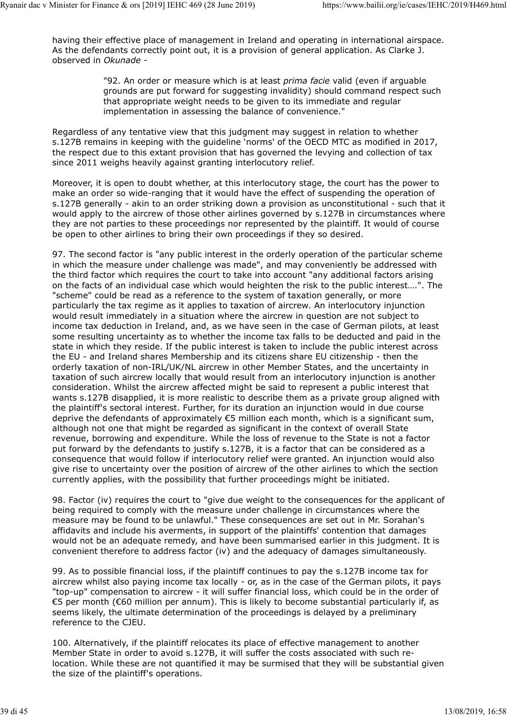having their effective place of management in Ireland and operating in international airspace. As the defendants correctly point out, it is a provision of general application. As Clarke J. observed in *Okunade* -

> "92. An order or measure which is at least *prima facie* valid (even if arguable grounds are put forward for suggesting invalidity) should command respect such that appropriate weight needs to be given to its immediate and regular implementation in assessing the balance of convenience."

Regardless of any tentative view that this judgment may suggest in relation to whether s.127B remains in keeping with the guideline 'norms' of the OECD MTC as modified in 2017, the respect due to this extant provision that has governed the levying and collection of tax since 2011 weighs heavily against granting interlocutory relief.

Moreover, it is open to doubt whether, at this interlocutory stage, the court has the power to make an order so wide-ranging that it would have the effect of suspending the operation of s.127B generally - akin to an order striking down a provision as unconstitutional - such that it would apply to the aircrew of those other airlines governed by s.127B in circumstances where they are not parties to these proceedings nor represented by the plaintiff. It would of course be open to other airlines to bring their own proceedings if they so desired.

97. The second factor is "any public interest in the orderly operation of the particular scheme in which the measure under challenge was made", and may conveniently be addressed with the third factor which requires the court to take into account "any additional factors arising on the facts of an individual case which would heighten the risk to the public interest….". The "scheme" could be read as a reference to the system of taxation generally, or more particularly the tax regime as it applies to taxation of aircrew. An interlocutory injunction would result immediately in a situation where the aircrew in question are not subject to income tax deduction in Ireland, and, as we have seen in the case of German pilots, at least some resulting uncertainty as to whether the income tax falls to be deducted and paid in the state in which they reside. If the public interest is taken to include the public interest across the EU - and Ireland shares Membership and its citizens share EU citizenship - then the orderly taxation of non-IRL/UK/NL aircrew in other Member States, and the uncertainty in taxation of such aircrew locally that would result from an interlocutory injunction is another consideration. Whilst the aircrew affected might be said to represent a public interest that wants s.127B disapplied, it is more realistic to describe them as a private group aligned with the plaintiff's sectoral interest. Further, for its duration an injunction would in due course deprive the defendants of approximately  $\epsilon$ 5 million each month, which is a significant sum, although not one that might be regarded as significant in the context of overall State revenue, borrowing and expenditure. While the loss of revenue to the State is not a factor put forward by the defendants to justify s.127B, it is a factor that can be considered as a consequence that would follow if interlocutory relief were granted. An injunction would also give rise to uncertainty over the position of aircrew of the other airlines to which the section currently applies, with the possibility that further proceedings might be initiated.

98. Factor (iv) requires the court to "give due weight to the consequences for the applicant of being required to comply with the measure under challenge in circumstances where the measure may be found to be unlawful." These consequences are set out in Mr. Sorahan's affidavits and include his averments, in support of the plaintiffs' contention that damages would not be an adequate remedy, and have been summarised earlier in this judgment. It is convenient therefore to address factor (iv) and the adequacy of damages simultaneously.

99. As to possible financial loss, if the plaintiff continues to pay the s.127B income tax for aircrew whilst also paying income tax locally - or, as in the case of the German pilots, it pays "top-up" compensation to aircrew - it will suffer financial loss, which could be in the order of €5 per month (€60 million per annum). This is likely to become substantial particularly if, as seems likely, the ultimate determination of the proceedings is delayed by a preliminary reference to the CJEU.

100. Alternatively, if the plaintiff relocates its place of effective management to another Member State in order to avoid s.127B, it will suffer the costs associated with such relocation. While these are not quantified it may be surmised that they will be substantial given the size of the plaintiff's operations.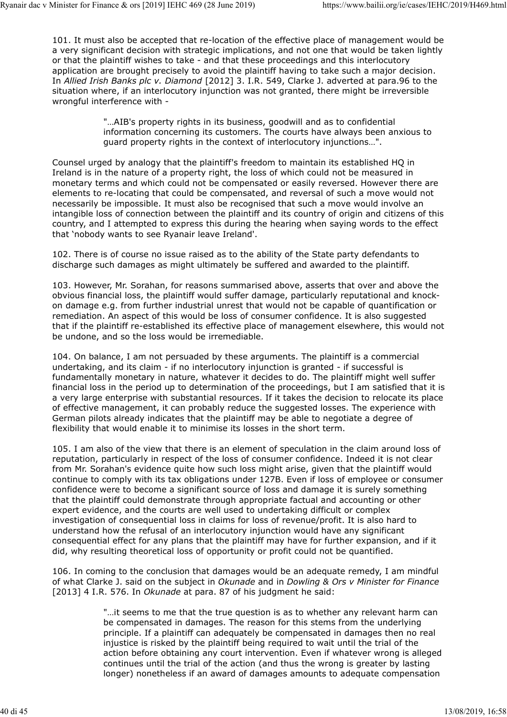101. It must also be accepted that re-location of the effective place of management would be a very significant decision with strategic implications, and not one that would be taken lightly or that the plaintiff wishes to take - and that these proceedings and this interlocutory application are brought precisely to avoid the plaintiff having to take such a major decision. In *Allied Irish Banks plc v. Diamond* [2012] 3. I.R. 549, Clarke J. adverted at para.96 to the situation where, if an interlocutory injunction was not granted, there might be irreversible wrongful interference with -

> "…AIB's property rights in its business, goodwill and as to confidential information concerning its customers. The courts have always been anxious to guard property rights in the context of interlocutory injunctions…".

Counsel urged by analogy that the plaintiff's freedom to maintain its established HQ in Ireland is in the nature of a property right, the loss of which could not be measured in monetary terms and which could not be compensated or easily reversed. However there are elements to re-locating that could be compensated, and reversal of such a move would not necessarily be impossible. It must also be recognised that such a move would involve an intangible loss of connection between the plaintiff and its country of origin and citizens of this country, and I attempted to express this during the hearing when saying words to the effect that 'nobody wants to see Ryanair leave Ireland'.

102. There is of course no issue raised as to the ability of the State party defendants to discharge such damages as might ultimately be suffered and awarded to the plaintiff.

103. However, Mr. Sorahan, for reasons summarised above, asserts that over and above the obvious financial loss, the plaintiff would suffer damage, particularly reputational and knockon damage e.g. from further industrial unrest that would not be capable of quantification or remediation. An aspect of this would be loss of consumer confidence. It is also suggested that if the plaintiff re-established its effective place of management elsewhere, this would not be undone, and so the loss would be irremediable.

104. On balance, I am not persuaded by these arguments. The plaintiff is a commercial undertaking, and its claim - if no interlocutory injunction is granted - if successful is fundamentally monetary in nature, whatever it decides to do. The plaintiff might well suffer financial loss in the period up to determination of the proceedings, but I am satisfied that it is a very large enterprise with substantial resources. If it takes the decision to relocate its place of effective management, it can probably reduce the suggested losses. The experience with German pilots already indicates that the plaintiff may be able to negotiate a degree of flexibility that would enable it to minimise its losses in the short term.

105. I am also of the view that there is an element of speculation in the claim around loss of reputation, particularly in respect of the loss of consumer confidence. Indeed it is not clear from Mr. Sorahan's evidence quite how such loss might arise, given that the plaintiff would continue to comply with its tax obligations under 127B. Even if loss of employee or consumer confidence were to become a significant source of loss and damage it is surely something that the plaintiff could demonstrate through appropriate factual and accounting or other expert evidence, and the courts are well used to undertaking difficult or complex investigation of consequential loss in claims for loss of revenue/profit. It is also hard to understand how the refusal of an interlocutory injunction would have any significant consequential effect for any plans that the plaintiff may have for further expansion, and if it did, why resulting theoretical loss of opportunity or profit could not be quantified.

106. In coming to the conclusion that damages would be an adequate remedy, I am mindful of what Clarke J. said on the subject in *Okunade* and in *Dowling & Ors v Minister for Finance* [2013] 4 I.R. 576. In *Okunade* at para. 87 of his judgment he said:

> "…it seems to me that the true question is as to whether any relevant harm can be compensated in damages. The reason for this stems from the underlying principle. If a plaintiff can adequately be compensated in damages then no real injustice is risked by the plaintiff being required to wait until the trial of the action before obtaining any court intervention. Even if whatever wrong is alleged continues until the trial of the action (and thus the wrong is greater by lasting longer) nonetheless if an award of damages amounts to adequate compensation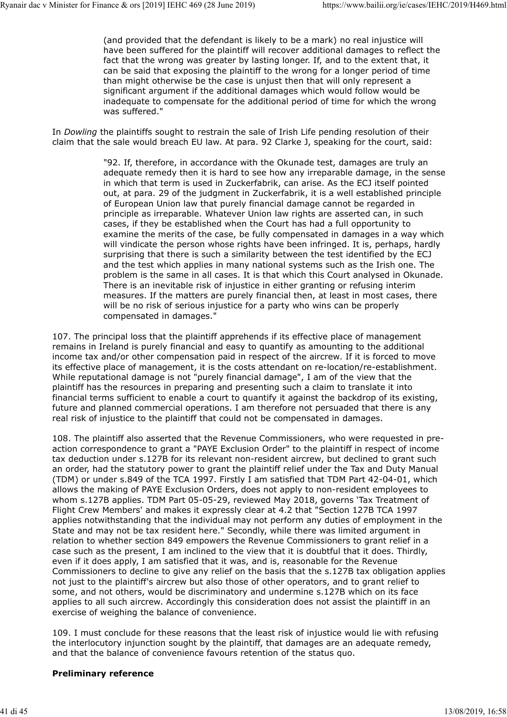(and provided that the defendant is likely to be a mark) no real injustice will have been suffered for the plaintiff will recover additional damages to reflect the fact that the wrong was greater by lasting longer. If, and to the extent that, it can be said that exposing the plaintiff to the wrong for a longer period of time than might otherwise be the case is unjust then that will only represent a significant argument if the additional damages which would follow would be inadequate to compensate for the additional period of time for which the wrong was suffered."

In *Dowling* the plaintiffs sought to restrain the sale of Irish Life pending resolution of their claim that the sale would breach EU law. At para. 92 Clarke J, speaking for the court, said:

> "92. If, therefore, in accordance with the Okunade test, damages are truly an adequate remedy then it is hard to see how any irreparable damage, in the sense in which that term is used in Zuckerfabrik, can arise. As the ECJ itself pointed out, at para. 29 of the judgment in Zuckerfabrik, it is a well established principle of European Union law that purely financial damage cannot be regarded in principle as irreparable. Whatever Union law rights are asserted can, in such cases, if they be established when the Court has had a full opportunity to examine the merits of the case, be fully compensated in damages in a way which will vindicate the person whose rights have been infringed. It is, perhaps, hardly surprising that there is such a similarity between the test identified by the ECJ and the test which applies in many national systems such as the Irish one. The problem is the same in all cases. It is that which this Court analysed in Okunade. There is an inevitable risk of injustice in either granting or refusing interim measures. If the matters are purely financial then, at least in most cases, there will be no risk of serious injustice for a party who wins can be properly compensated in damages."

107. The principal loss that the plaintiff apprehends if its effective place of management remains in Ireland is purely financial and easy to quantify as amounting to the additional income tax and/or other compensation paid in respect of the aircrew. If it is forced to move its effective place of management, it is the costs attendant on re-location/re-establishment. While reputational damage is not "purely financial damage", I am of the view that the plaintiff has the resources in preparing and presenting such a claim to translate it into financial terms sufficient to enable a court to quantify it against the backdrop of its existing, future and planned commercial operations. I am therefore not persuaded that there is any real risk of injustice to the plaintiff that could not be compensated in damages.

108. The plaintiff also asserted that the Revenue Commissioners, who were requested in preaction correspondence to grant a "PAYE Exclusion Order" to the plaintiff in respect of income tax deduction under s.127B for its relevant non-resident aircrew, but declined to grant such an order, had the statutory power to grant the plaintiff relief under the Tax and Duty Manual (TDM) or under s.849 of the TCA 1997. Firstly I am satisfied that TDM Part 42-04-01, which allows the making of PAYE Exclusion Orders, does not apply to non-resident employees to whom s.127B applies. TDM Part 05-05-29, reviewed May 2018, governs 'Tax Treatment of Flight Crew Members' and makes it expressly clear at 4.2 that "Section 127B TCA 1997 applies notwithstanding that the individual may not perform any duties of employment in the State and may not be tax resident here." Secondly, while there was limited argument in relation to whether section 849 empowers the Revenue Commissioners to grant relief in a case such as the present, I am inclined to the view that it is doubtful that it does. Thirdly, even if it does apply, I am satisfied that it was, and is, reasonable for the Revenue Commissioners to decline to give any relief on the basis that the s.127B tax obligation applies not just to the plaintiff's aircrew but also those of other operators, and to grant relief to some, and not others, would be discriminatory and undermine s.127B which on its face applies to all such aircrew. Accordingly this consideration does not assist the plaintiff in an exercise of weighing the balance of convenience.

109. I must conclude for these reasons that the least risk of injustice would lie with refusing the interlocutory injunction sought by the plaintiff, that damages are an adequate remedy, and that the balance of convenience favours retention of the status quo.

#### Preliminary reference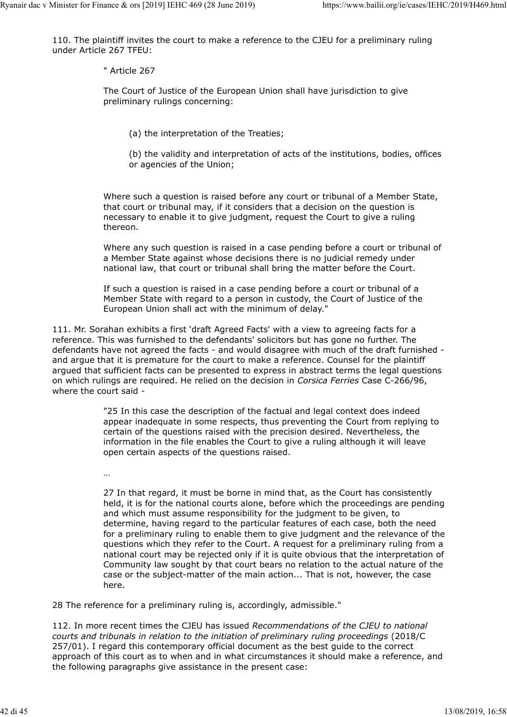110. The plaintiff invites the court to make a reference to the CJEU for a preliminary ruling under Article 267 TFEU:

" Article 267

The Court of Justice of the European Union shall have jurisdiction to give preliminary rulings concerning:

(a) the interpretation of the Treaties;

(b) the validity and interpretation of acts of the institutions, bodies, offices or agencies of the Union;

Where such a question is raised before any court or tribunal of a Member State, that court or tribunal may, if it considers that a decision on the question is necessary to enable it to give judgment, request the Court to give a ruling thereon.

Where any such question is raised in a case pending before a court or tribunal of a Member State against whose decisions there is no judicial remedy under national law, that court or tribunal shall bring the matter before the Court.

If such a question is raised in a case pending before a court or tribunal of a Member State with regard to a person in custody, the Court of Justice of the European Union shall act with the minimum of delay."

111. Mr. Sorahan exhibits a first 'draft Agreed Facts' with a view to agreeing facts for a reference. This was furnished to the defendants' solicitors but has gone no further. The defendants have not agreed the facts - and would disagree with much of the draft furnished and argue that it is premature for the court to make a reference. Counsel for the plaintiff argued that sufficient facts can be presented to express in abstract terms the legal questions on which rulings are required. He relied on the decision in *Corsica Ferries* Case C-266/96, where the court said -

> "25 In this case the description of the factual and legal context does indeed appear inadequate in some respects, thus preventing the Court from replying to certain of the questions raised with the precision desired. Nevertheless, the information in the file enables the Court to give a ruling although it will leave open certain aspects of the questions raised.

…

27 In that regard, it must be borne in mind that, as the Court has consistently held, it is for the national courts alone, before which the proceedings are pending and which must assume responsibility for the judgment to be given, to determine, having regard to the particular features of each case, both the need for a preliminary ruling to enable them to give judgment and the relevance of the questions which they refer to the Court. A request for a preliminary ruling from a national court may be rejected only if it is quite obvious that the interpretation of Community law sought by that court bears no relation to the actual nature of the case or the subject-matter of the main action... That is not, however, the case here.

28 The reference for a preliminary ruling is, accordingly, admissible."

112. In more recent times the CJEU has issued *Recommendations of the CJEU to national courts and tribunals in relation to the initiation of preliminary ruling proceedings* (2018/C 257/01). I regard this contemporary official document as the best guide to the correct approach of this court as to when and in what circumstances it should make a reference, and the following paragraphs give assistance in the present case: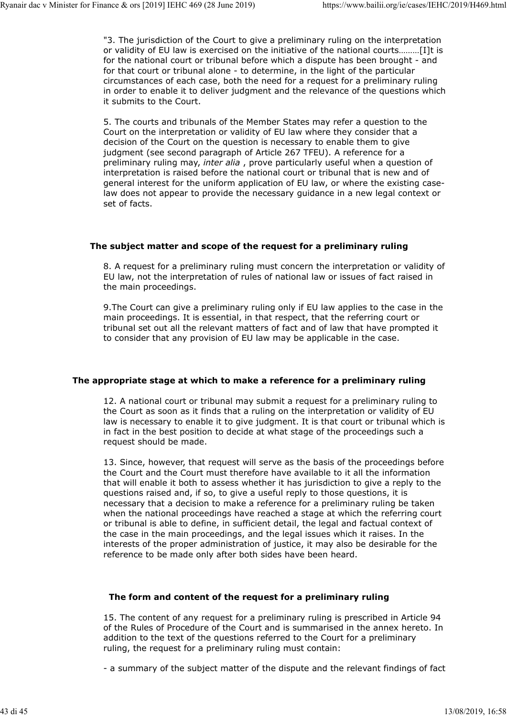"3. The jurisdiction of the Court to give a preliminary ruling on the interpretation or validity of EU law is exercised on the initiative of the national courts………[I]t is for the national court or tribunal before which a dispute has been brought - and for that court or tribunal alone - to determine, in the light of the particular circumstances of each case, both the need for a request for a preliminary ruling in order to enable it to deliver judgment and the relevance of the questions which it submits to the Court.

5. The courts and tribunals of the Member States may refer a question to the Court on the interpretation or validity of EU law where they consider that a decision of the Court on the question is necessary to enable them to give judgment (see second paragraph of Article 267 TFEU). A reference for a preliminary ruling may, *inter alia* , prove particularly useful when a question of interpretation is raised before the national court or tribunal that is new and of general interest for the uniform application of EU law, or where the existing caselaw does not appear to provide the necessary guidance in a new legal context or set of facts.

## The subject matter and scope of the request for a preliminary ruling

8. A request for a preliminary ruling must concern the interpretation or validity of EU law, not the interpretation of rules of national law or issues of fact raised in the main proceedings.

9.The Court can give a preliminary ruling only if EU law applies to the case in the main proceedings. It is essential, in that respect, that the referring court or tribunal set out all the relevant matters of fact and of law that have prompted it to consider that any provision of EU law may be applicable in the case.

## The appropriate stage at which to make a reference for a preliminary ruling

12. A national court or tribunal may submit a request for a preliminary ruling to the Court as soon as it finds that a ruling on the interpretation or validity of EU law is necessary to enable it to give judgment. It is that court or tribunal which is in fact in the best position to decide at what stage of the proceedings such a request should be made.

13. Since, however, that request will serve as the basis of the proceedings before the Court and the Court must therefore have available to it all the information that will enable it both to assess whether it has jurisdiction to give a reply to the questions raised and, if so, to give a useful reply to those questions, it is necessary that a decision to make a reference for a preliminary ruling be taken when the national proceedings have reached a stage at which the referring court or tribunal is able to define, in sufficient detail, the legal and factual context of the case in the main proceedings, and the legal issues which it raises. In the interests of the proper administration of justice, it may also be desirable for the reference to be made only after both sides have been heard.

# The form and content of the request for a preliminary ruling

15. The content of any request for a preliminary ruling is prescribed in Article 94 of the Rules of Procedure of the Court and is summarised in the annex hereto. In addition to the text of the questions referred to the Court for a preliminary ruling, the request for a preliminary ruling must contain:

- a summary of the subject matter of the dispute and the relevant findings of fact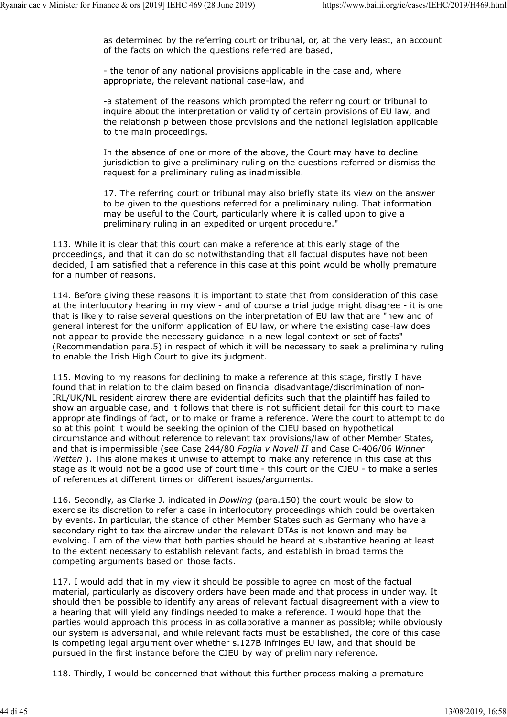as determined by the referring court or tribunal, or, at the very least, an account of the facts on which the questions referred are based,

- the tenor of any national provisions applicable in the case and, where appropriate, the relevant national case-law, and

-a statement of the reasons which prompted the referring court or tribunal to inquire about the interpretation or validity of certain provisions of EU law, and the relationship between those provisions and the national legislation applicable to the main proceedings.

In the absence of one or more of the above, the Court may have to decline jurisdiction to give a preliminary ruling on the questions referred or dismiss the request for a preliminary ruling as inadmissible.

17. The referring court or tribunal may also briefly state its view on the answer to be given to the questions referred for a preliminary ruling. That information may be useful to the Court, particularly where it is called upon to give a preliminary ruling in an expedited or urgent procedure."

113. While it is clear that this court can make a reference at this early stage of the proceedings, and that it can do so notwithstanding that all factual disputes have not been decided, I am satisfied that a reference in this case at this point would be wholly premature for a number of reasons.

114. Before giving these reasons it is important to state that from consideration of this case at the interlocutory hearing in my view - and of course a trial judge might disagree - it is one that is likely to raise several questions on the interpretation of EU law that are "new and of general interest for the uniform application of EU law, or where the existing case-law does not appear to provide the necessary guidance in a new legal context or set of facts" (Recommendation para.5) in respect of which it will be necessary to seek a preliminary ruling to enable the Irish High Court to give its judgment.

115. Moving to my reasons for declining to make a reference at this stage, firstly I have found that in relation to the claim based on financial disadvantage/discrimination of non-IRL/UK/NL resident aircrew there are evidential deficits such that the plaintiff has failed to show an arguable case, and it follows that there is not sufficient detail for this court to make appropriate findings of fact, or to make or frame a reference. Were the court to attempt to do so at this point it would be seeking the opinion of the CJEU based on hypothetical circumstance and without reference to relevant tax provisions/law of other Member States, and that is impermissible (see Case 244/80 *Foglia v Novell II* and Case C-406/06 *Winner Wetten* ). This alone makes it unwise to attempt to make any reference in this case at this stage as it would not be a good use of court time - this court or the CJEU - to make a series of references at different times on different issues/arguments.

116. Secondly, as Clarke J. indicated in *Dowling* (para.150) the court would be slow to exercise its discretion to refer a case in interlocutory proceedings which could be overtaken by events. In particular, the stance of other Member States such as Germany who have a secondary right to tax the aircrew under the relevant DTAs is not known and may be evolving. I am of the view that both parties should be heard at substantive hearing at least to the extent necessary to establish relevant facts, and establish in broad terms the competing arguments based on those facts.

117. I would add that in my view it should be possible to agree on most of the factual material, particularly as discovery orders have been made and that process in under way. It should then be possible to identify any areas of relevant factual disagreement with a view to a hearing that will yield any findings needed to make a reference. I would hope that the parties would approach this process in as collaborative a manner as possible; while obviously our system is adversarial, and while relevant facts must be established, the core of this case is competing legal argument over whether s.127B infringes EU law, and that should be pursued in the first instance before the CJEU by way of preliminary reference.

118. Thirdly, I would be concerned that without this further process making a premature